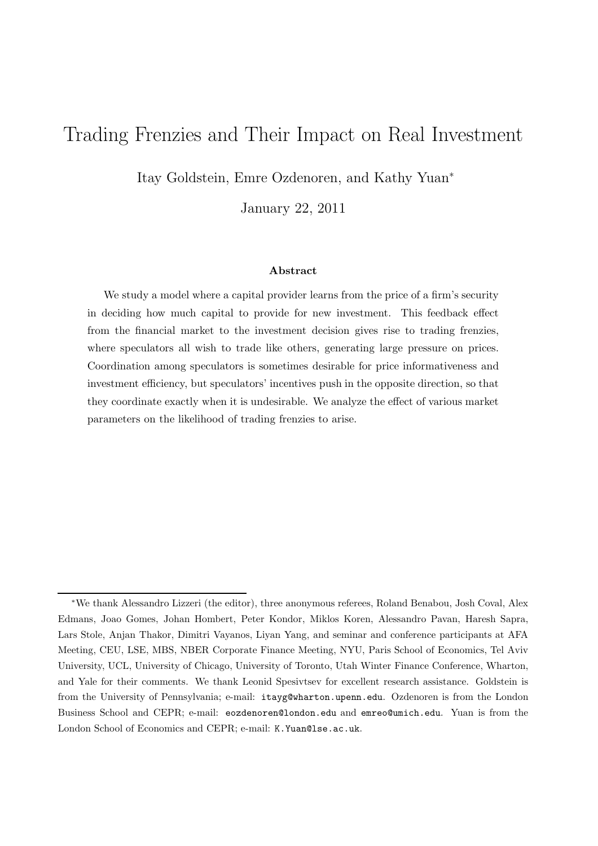# Trading Frenzies and Their Impact on Real Investment

Itay Goldstein, Emre Ozdenoren, and Kathy Yuan<sup>∗</sup>

January 22, 2011

#### Abstract

We study a model where a capital provider learns from the price of a firm's security in deciding how much capital to provide for new investment. This feedback effect from the financial market to the investment decision gives rise to trading frenzies, where speculators all wish to trade like others, generating large pressure on prices. Coordination among speculators is sometimes desirable for price informativeness and investment efficiency, but speculators' incentives push in the opposite direction, so that they coordinate exactly when it is undesirable. We analyze the effect of various market parameters on the likelihood of trading frenzies to arise.

<sup>∗</sup>We thank Alessandro Lizzeri (the editor), three anonymous referees, Roland Benabou, Josh Coval, Alex Edmans, Joao Gomes, Johan Hombert, Peter Kondor, Miklos Koren, Alessandro Pavan, Haresh Sapra, Lars Stole, Anjan Thakor, Dimitri Vayanos, Liyan Yang, and seminar and conference participants at AFA Meeting, CEU, LSE, MBS, NBER Corporate Finance Meeting, NYU, Paris School of Economics, Tel Aviv University, UCL, University of Chicago, University of Toronto, Utah Winter Finance Conference, Wharton, and Yale for their comments. We thank Leonid Spesivtsev for excellent research assistance. Goldstein is from the University of Pennsylvania; e-mail: itayg@wharton.upenn.edu. Ozdenoren is from the London Business School and CEPR; e-mail: eozdenoren@london.edu and emreo@umich.edu. Yuan is from the London School of Economics and CEPR; e-mail: K.Yuan@lse.ac.uk.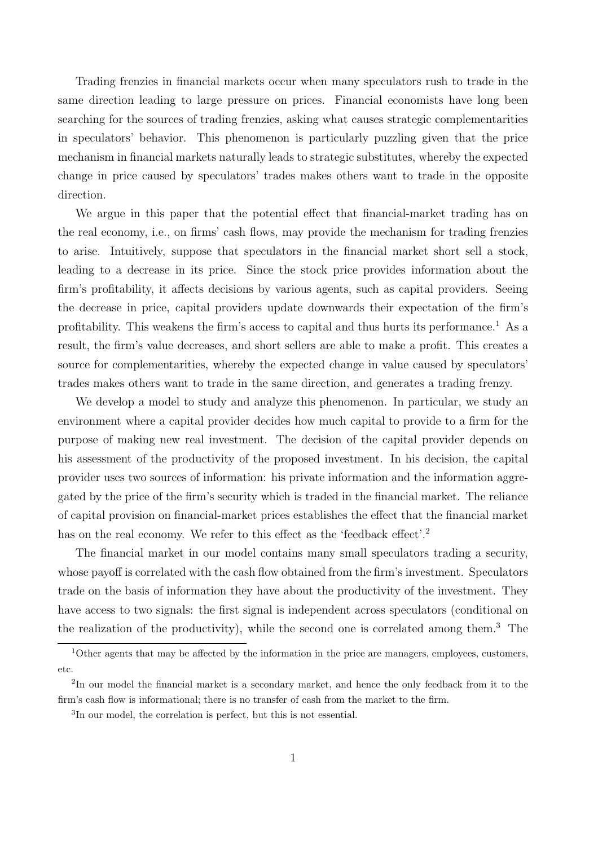Trading frenzies in financial markets occur when many speculators rush to trade in the same direction leading to large pressure on prices. Financial economists have long been searching for the sources of trading frenzies, asking what causes strategic complementarities in speculators' behavior. This phenomenon is particularly puzzling given that the price mechanism in financial markets naturally leads to strategic substitutes, whereby the expected change in price caused by speculators' trades makes others want to trade in the opposite direction.

We argue in this paper that the potential effect that financial-market trading has on the real economy, i.e., on firms' cash flows, may provide the mechanism for trading frenzies to arise. Intuitively, suppose that speculators in the financial market short sell a stock, leading to a decrease in its price. Since the stock price provides information about the firm's profitability, it affects decisions by various agents, such as capital providers. Seeing the decrease in price, capital providers update downwards their expectation of the firm's profitability. This weakens the firm's access to capital and thus hurts its performance.<sup>1</sup> As a result, the firm's value decreases, and short sellers are able to make a profit. This creates a source for complementarities, whereby the expected change in value caused by speculators' trades makes others want to trade in the same direction, and generates a trading frenzy.

We develop a model to study and analyze this phenomenon. In particular, we study an environment where a capital provider decides how much capital to provide to a firm for the purpose of making new real investment. The decision of the capital provider depends on his assessment of the productivity of the proposed investment. In his decision, the capital provider uses two sources of information: his private information and the information aggregated by the price of the firm's security which is traded in the financial market. The reliance of capital provision on financial-market prices establishes the effect that the financial market has on the real economy. We refer to this effect as the 'feedback effect'.<sup>2</sup>

The financial market in our model contains many small speculators trading a security, whose payoff is correlated with the cash flow obtained from the firm's investment. Speculators trade on the basis of information they have about the productivity of the investment. They have access to two signals: the first signal is independent across speculators (conditional on the realization of the productivity), while the second one is correlated among them.<sup>3</sup> The

<sup>&</sup>lt;sup>1</sup>Other agents that may be affected by the information in the price are managers, employees, customers, etc.

<sup>&</sup>lt;sup>2</sup>In our model the financial market is a secondary market, and hence the only feedback from it to the firm's cash flow is informational; there is no transfer of cash from the market to the firm.

<sup>3</sup> In our model, the correlation is perfect, but this is not essential.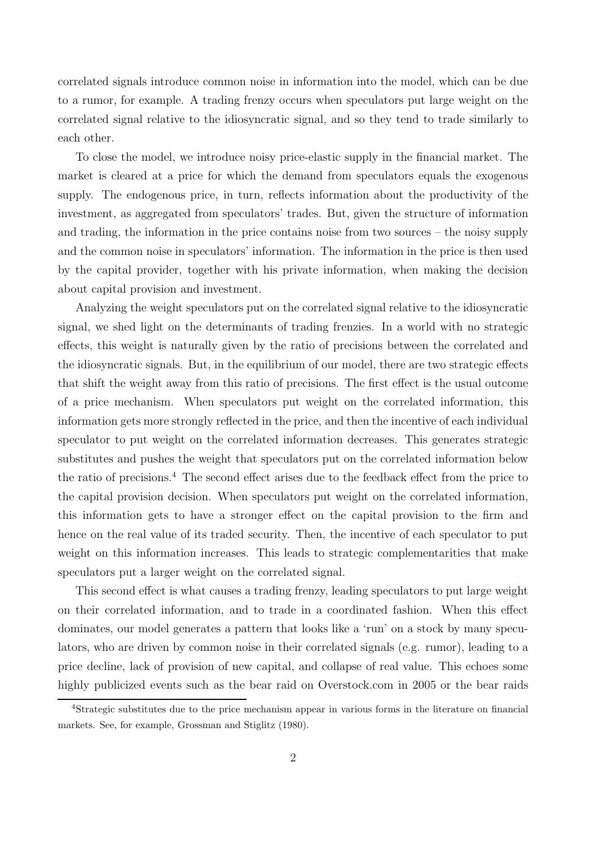correlated signals introduce common noise in information into the model, which can be due to a rumor, for example. A trading frenzy occurs when speculators put large weight on the correlated signal relative to the idiosyncratic signal, and so they tend to trade similarly to each other.

To close the model, we introduce noisy price-elastic supply in the financial market. The market is cleared at a price for which the demand from speculators equals the exogenous supply. The endogenous price, in turn, reflects information about the productivity of the investment, as aggregated from speculators' trades. But, given the structure of information and trading, the information in the price contains noise from two sources – the noisy supply and the common noise in speculators' information. The information in the price is then used by the capital provider, together with his private information, when making the decision about capital provision and investment.

Analyzing the weight speculators put on the correlated signal relative to the idiosyncratic signal, we shed light on the determinants of trading frenzies. In a world with no strategic effects, this weight is naturally given by the ratio of precisions between the correlated and the idiosyncratic signals. But, in the equilibrium of our model, there are two strategic effects that shift the weight away from this ratio of precisions. The first effect is the usual outcome of a price mechanism. When speculators put weight on the correlated information, this information gets more strongly reflected in the price, and then the incentive of each individual speculator to put weight on the correlated information decreases. This generates strategic substitutes and pushes the weight that speculators put on the correlated information below the ratio of precisions.<sup>4</sup> The second effect arises due to the feedback effect from the price to the capital provision decision. When speculators put weight on the correlated information, this information gets to have a stronger effect on the capital provision to the firm and hence on the real value of its traded security. Then, the incentive of each speculator to put weight on this information increases. This leads to strategic complementarities that make speculators put a larger weight on the correlated signal.

This second effect is what causes a trading frenzy, leading speculators to put large weight on their correlated information, and to trade in a coordinated fashion. When this effect dominates, our model generates a pattern that looks like a 'run' on a stock by many speculators, who are driven by common noise in their correlated signals (e.g. rumor), leading to a price decline, lack of provision of new capital, and collapse of real value. This echoes some highly publicized events such as the bear raid on Overstock.com in 2005 or the bear raids

<sup>4</sup>Strategic substitutes due to the price mechanism appear in various forms in the literature on financial markets. See, for example, Grossman and Stiglitz (1980).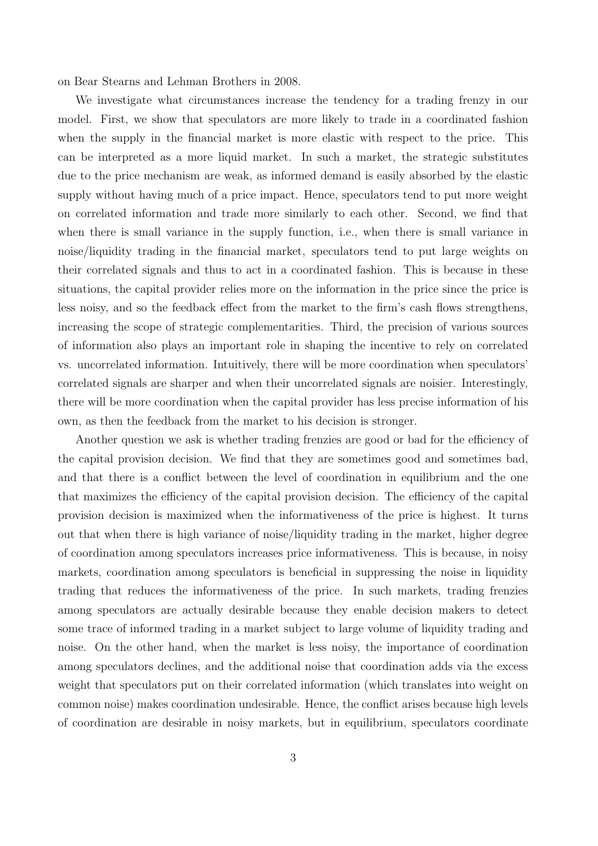on Bear Stearns and Lehman Brothers in 2008.

We investigate what circumstances increase the tendency for a trading frenzy in our model. First, we show that speculators are more likely to trade in a coordinated fashion when the supply in the financial market is more elastic with respect to the price. This can be interpreted as a more liquid market. In such a market, the strategic substitutes due to the price mechanism are weak, as informed demand is easily absorbed by the elastic supply without having much of a price impact. Hence, speculators tend to put more weight on correlated information and trade more similarly to each other. Second, we find that when there is small variance in the supply function, i.e., when there is small variance in noise/liquidity trading in the financial market, speculators tend to put large weights on their correlated signals and thus to act in a coordinated fashion. This is because in these situations, the capital provider relies more on the information in the price since the price is less noisy, and so the feedback effect from the market to the firm's cash flows strengthens, increasing the scope of strategic complementarities. Third, the precision of various sources of information also plays an important role in shaping the incentive to rely on correlated vs. uncorrelated information. Intuitively, there will be more coordination when speculators' correlated signals are sharper and when their uncorrelated signals are noisier. Interestingly, there will be more coordination when the capital provider has less precise information of his own, as then the feedback from the market to his decision is stronger.

Another question we ask is whether trading frenzies are good or bad for the efficiency of the capital provision decision. We find that they are sometimes good and sometimes bad, and that there is a conflict between the level of coordination in equilibrium and the one that maximizes the efficiency of the capital provision decision. The efficiency of the capital provision decision is maximized when the informativeness of the price is highest. It turns out that when there is high variance of noise/liquidity trading in the market, higher degree of coordination among speculators increases price informativeness. This is because, in noisy markets, coordination among speculators is beneficial in suppressing the noise in liquidity trading that reduces the informativeness of the price. In such markets, trading frenzies among speculators are actually desirable because they enable decision makers to detect some trace of informed trading in a market subject to large volume of liquidity trading and noise. On the other hand, when the market is less noisy, the importance of coordination among speculators declines, and the additional noise that coordination adds via the excess weight that speculators put on their correlated information (which translates into weight on common noise) makes coordination undesirable. Hence, the conflict arises because high levels of coordination are desirable in noisy markets, but in equilibrium, speculators coordinate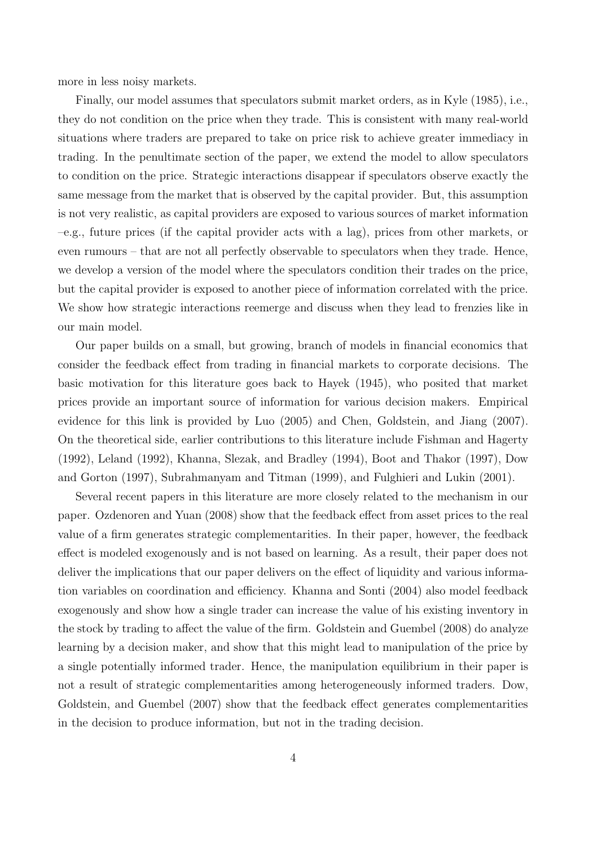more in less noisy markets.

Finally, our model assumes that speculators submit market orders, as in Kyle (1985), i.e., they do not condition on the price when they trade. This is consistent with many real-world situations where traders are prepared to take on price risk to achieve greater immediacy in trading. In the penultimate section of the paper, we extend the model to allow speculators to condition on the price. Strategic interactions disappear if speculators observe exactly the same message from the market that is observed by the capital provider. But, this assumption is not very realistic, as capital providers are exposed to various sources of market information –e.g., future prices (if the capital provider acts with a lag), prices from other markets, or even rumours – that are not all perfectly observable to speculators when they trade. Hence, we develop a version of the model where the speculators condition their trades on the price, but the capital provider is exposed to another piece of information correlated with the price. We show how strategic interactions reemerge and discuss when they lead to frenzies like in our main model.

Our paper builds on a small, but growing, branch of models in financial economics that consider the feedback effect from trading in financial markets to corporate decisions. The basic motivation for this literature goes back to Hayek (1945), who posited that market prices provide an important source of information for various decision makers. Empirical evidence for this link is provided by Luo (2005) and Chen, Goldstein, and Jiang (2007). On the theoretical side, earlier contributions to this literature include Fishman and Hagerty (1992), Leland (1992), Khanna, Slezak, and Bradley (1994), Boot and Thakor (1997), Dow and Gorton (1997), Subrahmanyam and Titman (1999), and Fulghieri and Lukin (2001).

Several recent papers in this literature are more closely related to the mechanism in our paper. Ozdenoren and Yuan (2008) show that the feedback effect from asset prices to the real value of a firm generates strategic complementarities. In their paper, however, the feedback effect is modeled exogenously and is not based on learning. As a result, their paper does not deliver the implications that our paper delivers on the effect of liquidity and various information variables on coordination and efficiency. Khanna and Sonti (2004) also model feedback exogenously and show how a single trader can increase the value of his existing inventory in the stock by trading to affect the value of the firm. Goldstein and Guembel (2008) do analyze learning by a decision maker, and show that this might lead to manipulation of the price by a single potentially informed trader. Hence, the manipulation equilibrium in their paper is not a result of strategic complementarities among heterogeneously informed traders. Dow, Goldstein, and Guembel (2007) show that the feedback effect generates complementarities in the decision to produce information, but not in the trading decision.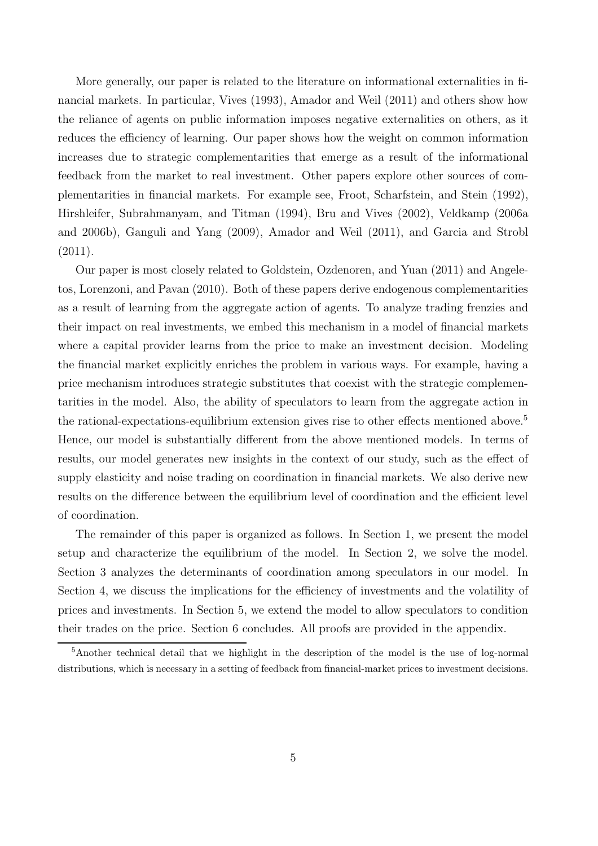More generally, our paper is related to the literature on informational externalities in financial markets. In particular, Vives (1993), Amador and Weil (2011) and others show how the reliance of agents on public information imposes negative externalities on others, as it reduces the efficiency of learning. Our paper shows how the weight on common information increases due to strategic complementarities that emerge as a result of the informational feedback from the market to real investment. Other papers explore other sources of complementarities in financial markets. For example see, Froot, Scharfstein, and Stein (1992), Hirshleifer, Subrahmanyam, and Titman (1994), Bru and Vives (2002), Veldkamp (2006a and 2006b), Ganguli and Yang (2009), Amador and Weil (2011), and Garcia and Strobl  $(2011).$ 

Our paper is most closely related to Goldstein, Ozdenoren, and Yuan (2011) and Angeletos, Lorenzoni, and Pavan (2010). Both of these papers derive endogenous complementarities as a result of learning from the aggregate action of agents. To analyze trading frenzies and their impact on real investments, we embed this mechanism in a model of financial markets where a capital provider learns from the price to make an investment decision. Modeling the financial market explicitly enriches the problem in various ways. For example, having a price mechanism introduces strategic substitutes that coexist with the strategic complementarities in the model. Also, the ability of speculators to learn from the aggregate action in the rational-expectations-equilibrium extension gives rise to other effects mentioned above.<sup>5</sup> Hence, our model is substantially different from the above mentioned models. In terms of results, our model generates new insights in the context of our study, such as the effect of supply elasticity and noise trading on coordination in financial markets. We also derive new results on the difference between the equilibrium level of coordination and the efficient level of coordination.

The remainder of this paper is organized as follows. In Section 1, we present the model setup and characterize the equilibrium of the model. In Section 2, we solve the model. Section 3 analyzes the determinants of coordination among speculators in our model. In Section 4, we discuss the implications for the efficiency of investments and the volatility of prices and investments. In Section 5, we extend the model to allow speculators to condition their trades on the price. Section 6 concludes. All proofs are provided in the appendix.

<sup>5</sup>Another technical detail that we highlight in the description of the model is the use of log-normal distributions, which is necessary in a setting of feedback from financial-market prices to investment decisions.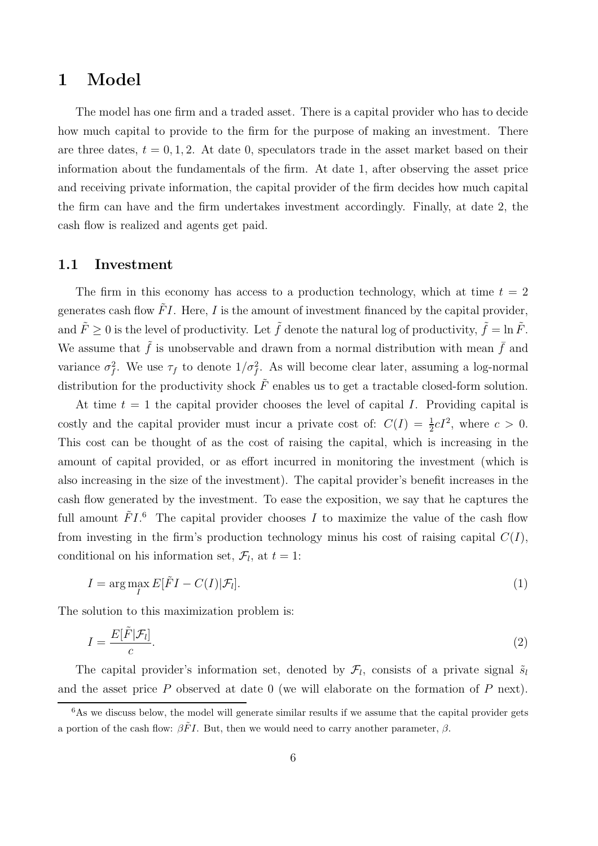## 1 Model

The model has one firm and a traded asset. There is a capital provider who has to decide how much capital to provide to the firm for the purpose of making an investment. There are three dates,  $t = 0, 1, 2$ . At date 0, speculators trade in the asset market based on their information about the fundamentals of the firm. At date 1, after observing the asset price and receiving private information, the capital provider of the firm decides how much capital the firm can have and the firm undertakes investment accordingly. Finally, at date 2, the cash flow is realized and agents get paid.

#### 1.1 Investment

The firm in this economy has access to a production technology, which at time  $t = 2$ generates cash flow  $\tilde{F}I$ . Here, I is the amount of investment financed by the capital provider, and  $\tilde{F} \geq 0$  is the level of productivity. Let  $\tilde{f}$  denote the natural log of productivity,  $\tilde{f} = \ln \tilde{F}$ . We assume that  $\tilde{f}$  is unobservable and drawn from a normal distribution with mean  $\bar{f}$  and variance  $\sigma_f^2$ . We use  $\tau_f$  to denote  $1/\sigma_f^2$ . As will become clear later, assuming a log-normal distribution for the productivity shock  $\tilde{F}$  enables us to get a tractable closed-form solution.

At time  $t = 1$  the capital provider chooses the level of capital I. Providing capital is costly and the capital provider must incur a private cost of:  $C(I) = \frac{1}{2}cI^2$ , where  $c > 0$ . This cost can be thought of as the cost of raising the capital, which is increasing in the amount of capital provided, or as effort incurred in monitoring the investment (which is also increasing in the size of the investment). The capital provider's benefit increases in the cash flow generated by the investment. To ease the exposition, we say that he captures the full amount  $\tilde{F}I^6$ . The capital provider chooses I to maximize the value of the cash flow from investing in the firm's production technology minus his cost of raising capital  $C(I)$ , conditional on his information set,  $\mathcal{F}_l$ , at  $t = 1$ :

$$
I = \arg\max_{I} E[\tilde{F}I - C(I)|\mathcal{F}_l].
$$
\n(1)

The solution to this maximization problem is:

$$
I = \frac{E[\tilde{F}|\mathcal{F}_l]}{c}.\tag{2}
$$

The capital provider's information set, denoted by  $\mathcal{F}_l$ , consists of a private signal  $\tilde{s}_l$ and the asset price  $P$  observed at date 0 (we will elaborate on the formation of  $P$  next).

 $6$ As we discuss below, the model will generate similar results if we assume that the capital provider gets a portion of the cash flow:  $\beta \tilde{F}I$ . But, then we would need to carry another parameter,  $\beta$ .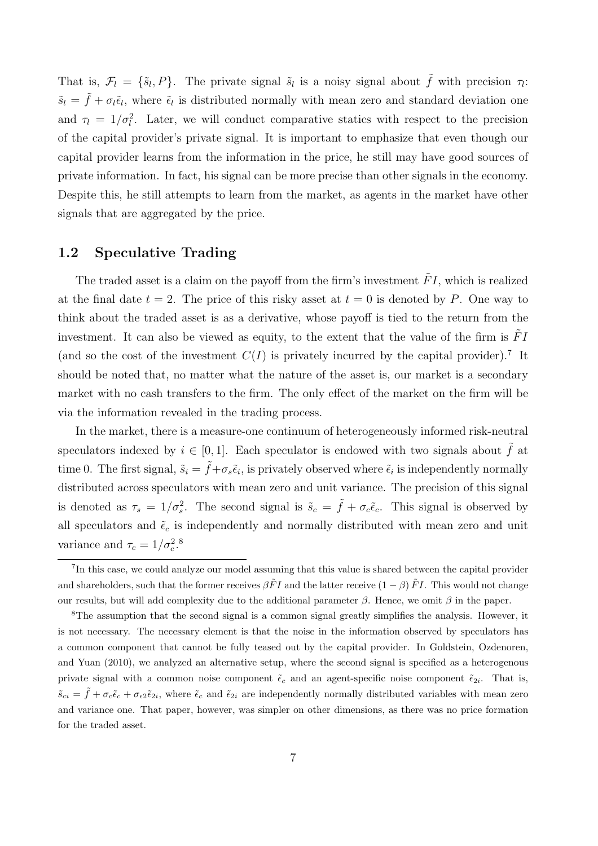That is,  $\mathcal{F}_l = \{\tilde{s}_l, P\}$ . The private signal  $\tilde{s}_l$  is a noisy signal about  $\tilde{f}$  with precision  $\tau_l$ :  $\tilde{s}_l = \tilde{f} + \sigma_l \tilde{\epsilon}_l$ , where  $\tilde{\epsilon}_l$  is distributed normally with mean zero and standard deviation one and  $\tau_l = 1/\sigma_l^2$ . Later, we will conduct comparative statics with respect to the precision of the capital provider's private signal. It is important to emphasize that even though our capital provider learns from the information in the price, he still may have good sources of private information. In fact, his signal can be more precise than other signals in the economy. Despite this, he still attempts to learn from the market, as agents in the market have other signals that are aggregated by the price.

#### 1.2 Speculative Trading

The traded asset is a claim on the payoff from the firm's investment  $\tilde{F}I$ , which is realized at the final date  $t = 2$ . The price of this risky asset at  $t = 0$  is denoted by P. One way to think about the traded asset is as a derivative, whose payoff is tied to the return from the investment. It can also be viewed as equity, to the extent that the value of the firm is  $\tilde{F}I$ (and so the cost of the investment  $C(I)$  is privately incurred by the capital provider).<sup>7</sup> It should be noted that, no matter what the nature of the asset is, our market is a secondary market with no cash transfers to the firm. The only effect of the market on the firm will be via the information revealed in the trading process.

In the market, there is a measure-one continuum of heterogeneously informed risk-neutral speculators indexed by  $i \in [0, 1]$ . Each speculator is endowed with two signals about  $\tilde{f}$  at time 0. The first signal,  $\tilde{s}_i = \tilde{f} + \sigma_s \tilde{\epsilon}_i$ , is privately observed where  $\tilde{\epsilon}_i$  is independently normally distributed across speculators with mean zero and unit variance. The precision of this signal is denoted as  $\tau_s = 1/\sigma_s^2$ . The second signal is  $\tilde{s}_c = \tilde{f} + \sigma_c \tilde{\epsilon}_c$ . This signal is observed by all speculators and  $\tilde{\epsilon}_c$  is independently and normally distributed with mean zero and unit variance and  $\tau_c = 1/\sigma_c^2$ .<sup>8</sup>

<sup>&</sup>lt;sup>7</sup>In this case, we could analyze our model assuming that this value is shared between the capital provider and shareholders, such that the former receives  $\beta \tilde{F} I$  and the latter receive  $(1 - \beta) \tilde{F} I$ . This would not change our results, but will add complexity due to the additional parameter  $\beta$ . Hence, we omit  $\beta$  in the paper.

<sup>&</sup>lt;sup>8</sup>The assumption that the second signal is a common signal greatly simplifies the analysis. However, it is not necessary. The necessary element is that the noise in the information observed by speculators has a common component that cannot be fully teased out by the capital provider. In Goldstein, Ozdenoren, and Yuan (2010), we analyzed an alternative setup, where the second signal is specified as a heterogenous private signal with a common noise component  $\tilde{\epsilon}_c$  and an agent-specific noise component  $\tilde{\epsilon}_{2i}$ . That is,  $\tilde{s}_{ci} = \tilde{f} + \sigma_c \tilde{\epsilon}_c + \sigma_{\epsilon 2} \tilde{\epsilon}_{2i}$ , where  $\tilde{\epsilon}_c$  and  $\tilde{\epsilon}_{2i}$  are independently normally distributed variables with mean zero and variance one. That paper, however, was simpler on other dimensions, as there was no price formation for the traded asset.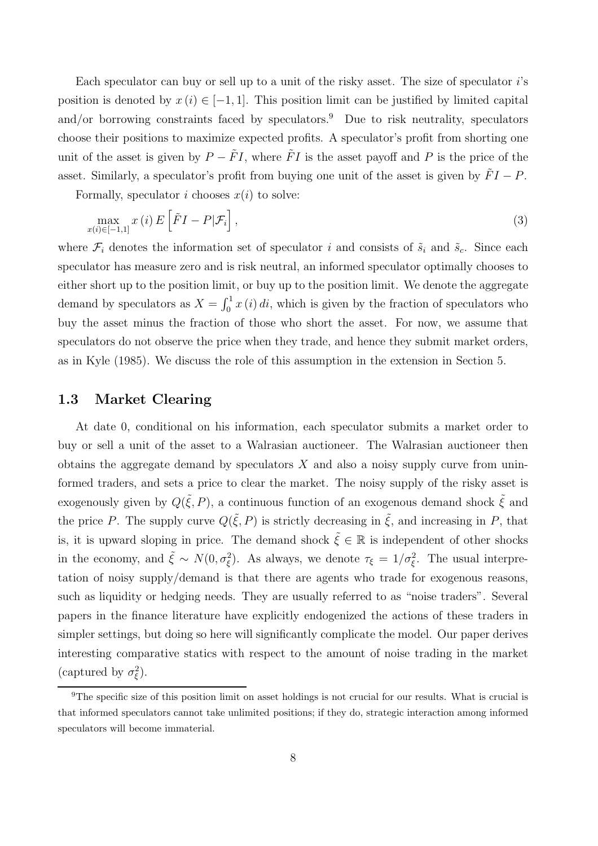Each speculator can buy or sell up to a unit of the risky asset. The size of speculator i's position is denoted by  $x(i) \in [-1, 1]$ . This position limit can be justified by limited capital and/or borrowing constraints faced by speculators.<sup>9</sup> Due to risk neutrality, speculators choose their positions to maximize expected profits. A speculator's profit from shorting one unit of the asset is given by  $P - \tilde{F}I$ , where  $\tilde{F}I$  is the asset payoff and P is the price of the asset. Similarly, a speculator's profit from buying one unit of the asset is given by  $\tilde{F}I - P$ .

Formally, speculator i chooses  $x(i)$  to solve:

$$
\max_{x(i)\in[-1,1]} x(i) E\left[\tilde{F}I - P|\mathcal{F}_i\right],\tag{3}
$$

where  $\mathcal{F}_i$  denotes the information set of speculator i and consists of  $\tilde{s}_i$  and  $\tilde{s}_c$ . Since each speculator has measure zero and is risk neutral, an informed speculator optimally chooses to either short up to the position limit, or buy up to the position limit. We denote the aggregate demand by speculators as  $X = \int_0^1 x(i) di$ , which is given by the fraction of speculators who buy the asset minus the fraction of those who short the asset. For now, we assume that speculators do not observe the price when they trade, and hence they submit market orders, as in Kyle (1985). We discuss the role of this assumption in the extension in Section 5.

#### 1.3 Market Clearing

At date 0, conditional on his information, each speculator submits a market order to buy or sell a unit of the asset to a Walrasian auctioneer. The Walrasian auctioneer then obtains the aggregate demand by speculators  $X$  and also a noisy supply curve from uninformed traders, and sets a price to clear the market. The noisy supply of the risky asset is exogenously given by  $Q(\tilde{\xi}, P)$ , a continuous function of an exogenous demand shock  $\tilde{\xi}$  and the price P. The supply curve  $Q(\tilde{\xi}, P)$  is strictly decreasing in  $\tilde{\xi}$ , and increasing in P, that is, it is upward sloping in price. The demand shock  $\tilde{\xi} \in \mathbb{R}$  is independent of other shocks in the economy, and  $\tilde{\xi} \sim N(0, \sigma_{\xi}^2)$ . As always, we denote  $\tau_{\xi} = 1/\sigma_{\xi}^2$ . The usual interpretation of noisy supply/demand is that there are agents who trade for exogenous reasons, such as liquidity or hedging needs. They are usually referred to as "noise traders". Several papers in the finance literature have explicitly endogenized the actions of these traders in simpler settings, but doing so here will significantly complicate the model. Our paper derives interesting comparative statics with respect to the amount of noise trading in the market (captured by  $\sigma_{\xi}^2$ ).

<sup>9</sup>The specific size of this position limit on asset holdings is not crucial for our results. What is crucial is that informed speculators cannot take unlimited positions; if they do, strategic interaction among informed speculators will become immaterial.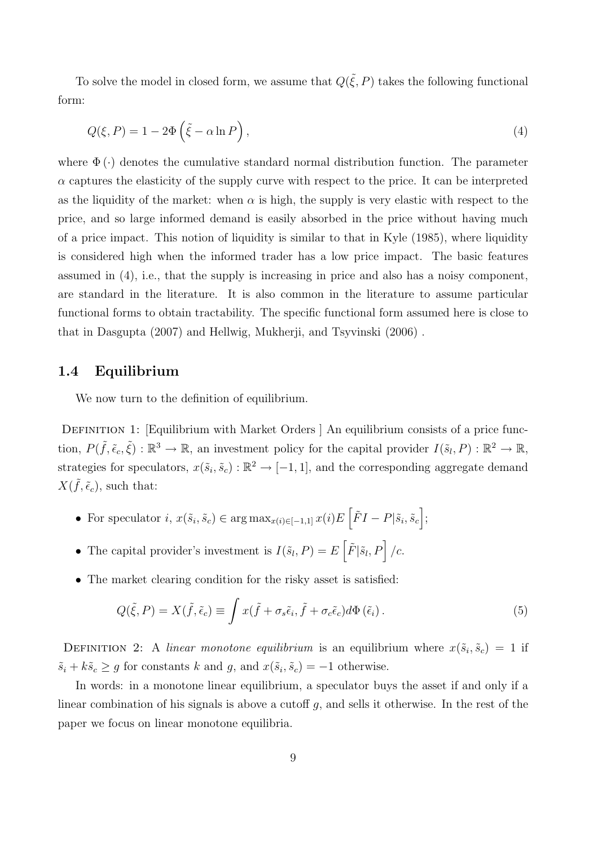To solve the model in closed form, we assume that  $Q(\tilde{\xi}, P)$  takes the following functional form:

$$
Q(\xi, P) = 1 - 2\Phi\left(\tilde{\xi} - \alpha \ln P\right),\tag{4}
$$

where  $\Phi(\cdot)$  denotes the cumulative standard normal distribution function. The parameter  $\alpha$  captures the elasticity of the supply curve with respect to the price. It can be interpreted as the liquidity of the market: when  $\alpha$  is high, the supply is very elastic with respect to the price, and so large informed demand is easily absorbed in the price without having much of a price impact. This notion of liquidity is similar to that in Kyle (1985), where liquidity is considered high when the informed trader has a low price impact. The basic features assumed in (4), i.e., that the supply is increasing in price and also has a noisy component, are standard in the literature. It is also common in the literature to assume particular functional forms to obtain tractability. The specific functional form assumed here is close to that in Dasgupta (2007) and Hellwig, Mukherji, and Tsyvinski (2006) .

### 1.4 Equilibrium

We now turn to the definition of equilibrium.

DEFINITION 1: [Equilibrium with Market Orders ] An equilibrium consists of a price function,  $P(\tilde{f}, \tilde{\epsilon}_c, \tilde{\xi}) : \mathbb{R}^3 \to \mathbb{R}$ , an investment policy for the capital provider  $I(\tilde{s}_l, P) : \mathbb{R}^2 \to \mathbb{R}$ , strategies for speculators,  $x(\tilde{s}_i, \tilde{s}_c) : \mathbb{R}^2 \to [-1, 1]$ , and the corresponding aggregate demand  $X(\tilde{f},\tilde{\epsilon}_c)$ , such that:

- For speculator  $i, x(\tilde{s}_i, \tilde{s}_c) \in \arg \max_{x(i) \in [-1,1]} x(i) E \left[ \tilde{F}I P | \tilde{s}_i, \tilde{s}_c \right];$
- The capital provider's investment is  $I(\tilde{s}_l, P) = E\left[\tilde{F}|\tilde{s}_l, P\right] / c$ .
- The market clearing condition for the risky asset is satisfied:

$$
Q(\tilde{\xi}, P) = X(\tilde{f}, \tilde{\epsilon}_c) \equiv \int x(\tilde{f} + \sigma_s \tilde{\epsilon}_i, \tilde{f} + \sigma_c \tilde{\epsilon}_c) d\Phi(\tilde{\epsilon}_i).
$$
\n(5)

DEFINITION 2: A linear monotone equilibrium is an equilibrium where  $x(\tilde{s}_i, \tilde{s}_c) = 1$  if  $\tilde{s}_i + k\tilde{s}_c \geq g$  for constants k and g, and  $x(\tilde{s}_i, \tilde{s}_c) = -1$  otherwise.

In words: in a monotone linear equilibrium, a speculator buys the asset if and only if a linear combination of his signals is above a cutoff  $q$ , and sells it otherwise. In the rest of the paper we focus on linear monotone equilibria.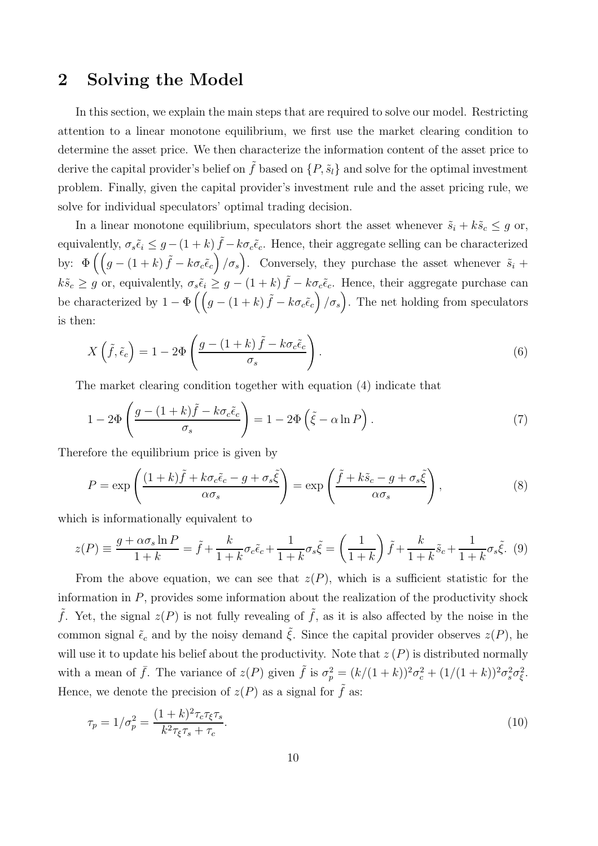## 2 Solving the Model

In this section, we explain the main steps that are required to solve our model. Restricting attention to a linear monotone equilibrium, we first use the market clearing condition to determine the asset price. We then characterize the information content of the asset price to derive the capital provider's belief on  $\tilde{f}$  based on  $\{P, \tilde{s}_l\}$  and solve for the optimal investment problem. Finally, given the capital provider's investment rule and the asset pricing rule, we solve for individual speculators' optimal trading decision.

In a linear monotone equilibrium, speculators short the asset whenever  $\tilde{s}_i + k\tilde{s}_c \leq g$  or, equivalently,  $\sigma_s \tilde{\epsilon}_i \leq g - (1 + k) \tilde{f} - k \sigma_c \tilde{\epsilon}_c$ . Hence, their aggregate selling can be characterized by:  $\Phi\left(\left(g - (1 + k)\tilde{f} - k\sigma_c \tilde{\epsilon}_c\right)/\sigma_s\right)$ . Conversely, they purchase the asset whenever  $\tilde{s}_i$  +  $k\tilde{s}_c \geq g$  or, equivalently,  $\sigma_s \tilde{\epsilon}_i \geq g - (1 + k)\tilde{f} - k\sigma_c \tilde{\epsilon}_c$ . Hence, their aggregate purchase can be characterized by  $1 - \Phi\left(\left(g - (1 + k) \tilde{f} - k \sigma_c \tilde{\epsilon}_c\right) / \sigma_s\right)$ . The net holding from speculators is then:

$$
X\left(\tilde{f},\tilde{\epsilon}_c\right) = 1 - 2\Phi\left(\frac{g - (1+k)\tilde{f} - k\sigma_c\tilde{\epsilon}_c}{\sigma_s}\right). \tag{6}
$$

The market clearing condition together with equation (4) indicate that

$$
1 - 2\Phi\left(\frac{g - (1 + k)\tilde{f} - k\sigma_c \tilde{\epsilon}_c}{\sigma_s}\right) = 1 - 2\Phi\left(\tilde{\xi} - \alpha \ln P\right). \tag{7}
$$

Therefore the equilibrium price is given by

$$
P = \exp\left(\frac{(1+k)\tilde{f} + k\sigma_c\tilde{\epsilon}_c - g + \sigma_s\tilde{\xi}}{\alpha\sigma_s}\right) = \exp\left(\frac{\tilde{f} + k\tilde{s}_c - g + \sigma_s\tilde{\xi}}{\alpha\sigma_s}\right),\tag{8}
$$

which is informationally equivalent to

$$
z(P) = \frac{g + \alpha \sigma_s \ln P}{1 + k} = \tilde{f} + \frac{k}{1 + k} \sigma_c \tilde{\epsilon}_c + \frac{1}{1 + k} \sigma_s \tilde{\xi} = \left(\frac{1}{1 + k}\right) \tilde{f} + \frac{k}{1 + k} \tilde{s}_c + \frac{1}{1 + k} \sigma_s \tilde{\xi}.
$$
 (9)

From the above equation, we can see that  $z(P)$ , which is a sufficient statistic for the information in  $P$ , provides some information about the realization of the productivity shock  $\tilde{f}$ . Yet, the signal  $z(P)$  is not fully revealing of  $\tilde{f}$ , as it is also affected by the noise in the common signal  $\tilde{\epsilon}_c$  and by the noisy demand  $\tilde{\xi}$ . Since the capital provider observes  $z(P)$ , he will use it to update his belief about the productivity. Note that  $z(P)$  is distributed normally with a mean of  $\bar{f}$ . The variance of  $z(P)$  given  $\tilde{f}$  is  $\sigma_p^2 = (k/(1+k))^2 \sigma_c^2 + (1/(1+k))^2 \sigma_s^2 \sigma_{\xi}^2$ . Hence, we denote the precision of  $z(P)$  as a signal for  $\hat{f}$  as:

$$
\tau_p = 1/\sigma_p^2 = \frac{(1+k)^2 \tau_c \tau_{\xi} \tau_s}{k^2 \tau_{\xi} \tau_s + \tau_c}.
$$
\n(10)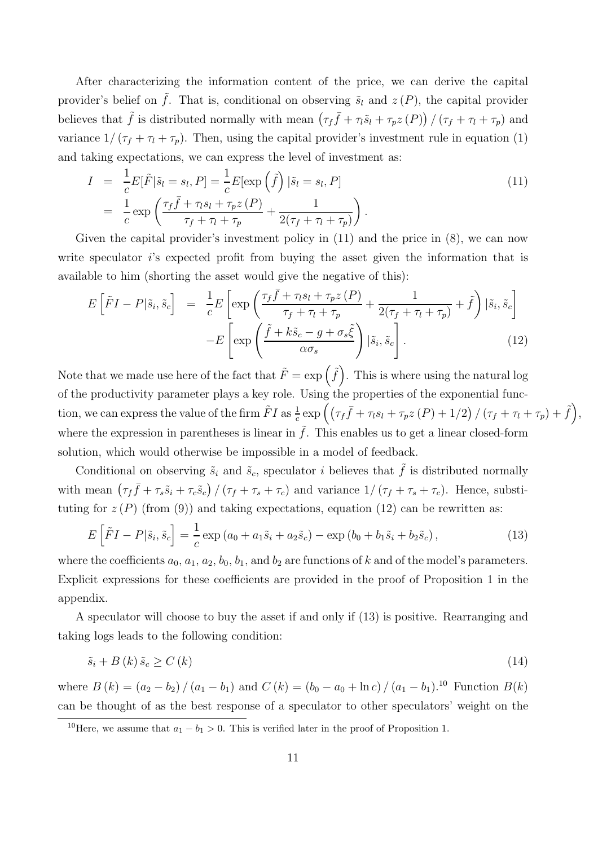After characterizing the information content of the price, we can derive the capital provider's belief on  $\tilde{f}$ . That is, conditional on observing  $\tilde{s}_l$  and  $z(P)$ , the capital provider believes that  $\tilde{f}$  is distributed normally with mean  $(\tau_f \bar{f} + \tau_i \tilde{s}_l + \tau_p z(P)) / (\tau_f + \tau_l + \tau_p)$  and variance  $1/(\tau_f + \tau_l + \tau_p)$ . Then, using the capital provider's investment rule in equation (1) and taking expectations, we can express the level of investment as:

$$
I = \frac{1}{c}E[\tilde{F}|\tilde{s}_l = s_l, P] = \frac{1}{c}E[\exp\left(\tilde{f}\right)|\tilde{s}_l = s_l, P]
$$
  
= 
$$
\frac{1}{c}\exp\left(\frac{\tau_f\bar{f} + \tau_l s_l + \tau_p z(P)}{\tau_f + \tau_l + \tau_p} + \frac{1}{2(\tau_f + \tau_l + \tau_p)}\right).
$$
 (11)

Given the capital provider's investment policy in  $(11)$  and the price in  $(8)$ , we can now write speculator i's expected profit from buying the asset given the information that is available to him (shorting the asset would give the negative of this):

$$
E\left[\tilde{F}I - P|\tilde{s}_i, \tilde{s}_c\right] = \frac{1}{c}E\left[\exp\left(\frac{\tau_f \bar{f} + \tau_l s_l + \tau_p z(P)}{\tau_f + \tau_l + \tau_p} + \frac{1}{2(\tau_f + \tau_l + \tau_p)} + \tilde{f}\right)|\tilde{s}_i, \tilde{s}_c\right] - E\left[\exp\left(\frac{\tilde{f} + k\tilde{s}_c - g + \sigma_s \tilde{\xi}}{\alpha \sigma_s}\right)|\tilde{s}_i, \tilde{s}_c\right].
$$
\n(12)

Note that we made use here of the fact that  $\tilde{F} = \exp\left(\tilde{f}\right)$ . This is where using the natural log of the productivity parameter plays a key role. Using the properties of the exponential function, we can express the value of the firm  $\tilde{F}I$  as  $\frac{1}{c}$  exp  $((\tau_f\bar{f} + \tau_l s_l + \tau_p z(P) + 1/2) / (\tau_f + \tau_l + \tau_p) + \tilde{f}),$ where the expression in parentheses is linear in  $\tilde{f}$ . This enables us to get a linear closed-form solution, which would otherwise be impossible in a model of feedback.

Conditional on observing  $\tilde{s}_i$  and  $\tilde{s}_c$ , speculator i believes that  $\tilde{f}$  is distributed normally with mean  $(\tau_f \bar{f} + \tau_s \tilde{s}_i + \tau_c \tilde{s}_c) / (\tau_f + \tau_s + \tau_c)$  and variance  $1/(\tau_f + \tau_s + \tau_c)$ . Hence, substituting for  $z(P)$  (from (9)) and taking expectations, equation (12) can be rewritten as:

$$
E\left[\tilde{F}I - P|\tilde{s}_i, \tilde{s}_c\right] = \frac{1}{c} \exp\left(a_0 + a_1 \tilde{s}_i + a_2 \tilde{s}_c\right) - \exp\left(b_0 + b_1 \tilde{s}_i + b_2 \tilde{s}_c\right),\tag{13}
$$

where the coefficients  $a_0, a_1, a_2, b_0, b_1$ , and  $b_2$  are functions of k and of the model's parameters. Explicit expressions for these coefficients are provided in the proof of Proposition 1 in the appendix.

A speculator will choose to buy the asset if and only if (13) is positive. Rearranging and taking logs leads to the following condition:

$$
\tilde{s}_{i} + B(k)\,\tilde{s}_{c} \ge C(k) \tag{14}
$$

where  $B(k) = (a_2 - b_2) / (a_1 - b_1)$  and  $C(k) = (b_0 - a_0 + \ln c) / (a_1 - b_1)$ .<sup>10</sup> Function  $B(k)$ can be thought of as the best response of a speculator to other speculators' weight on the

<sup>&</sup>lt;sup>10</sup>Here, we assume that  $a_1 - b_1 > 0$ . This is verified later in the proof of Proposition 1.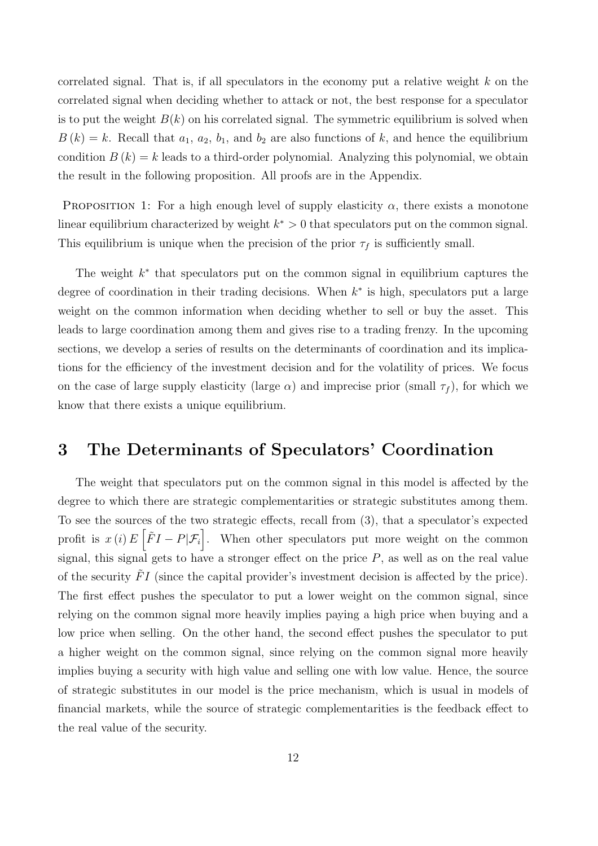correlated signal. That is, if all speculators in the economy put a relative weight  $k$  on the correlated signal when deciding whether to attack or not, the best response for a speculator is to put the weight  $B(k)$  on his correlated signal. The symmetric equilibrium is solved when  $B(k) = k$ . Recall that  $a_1, a_2, b_1$ , and  $b_2$  are also functions of k, and hence the equilibrium condition  $B(k) = k$  leads to a third-order polynomial. Analyzing this polynomial, we obtain the result in the following proposition. All proofs are in the Appendix.

PROPOSITION 1: For a high enough level of supply elasticity  $\alpha$ , there exists a monotone linear equilibrium characterized by weight  $k^* > 0$  that speculators put on the common signal. This equilibrium is unique when the precision of the prior  $\tau_f$  is sufficiently small.

The weight  $k^*$  that speculators put on the common signal in equilibrium captures the degree of coordination in their trading decisions. When  $k^*$  is high, speculators put a large weight on the common information when deciding whether to sell or buy the asset. This leads to large coordination among them and gives rise to a trading frenzy. In the upcoming sections, we develop a series of results on the determinants of coordination and its implications for the efficiency of the investment decision and for the volatility of prices. We focus on the case of large supply elasticity (large  $\alpha$ ) and imprecise prior (small  $\tau_f$ ), for which we know that there exists a unique equilibrium.

## 3 The Determinants of Speculators' Coordination

The weight that speculators put on the common signal in this model is affected by the degree to which there are strategic complementarities or strategic substitutes among them. To see the sources of the two strategic effects, recall from (3), that a speculator's expected profit is  $x(i) E \left[ \tilde{F}I - P|\mathcal{F}_i \right]$ . When other speculators put more weight on the common signal, this signal gets to have a stronger effect on the price  $P$ , as well as on the real value of the security  $FI$  (since the capital provider's investment decision is affected by the price). The first effect pushes the speculator to put a lower weight on the common signal, since relying on the common signal more heavily implies paying a high price when buying and a low price when selling. On the other hand, the second effect pushes the speculator to put a higher weight on the common signal, since relying on the common signal more heavily implies buying a security with high value and selling one with low value. Hence, the source of strategic substitutes in our model is the price mechanism, which is usual in models of financial markets, while the source of strategic complementarities is the feedback effect to the real value of the security.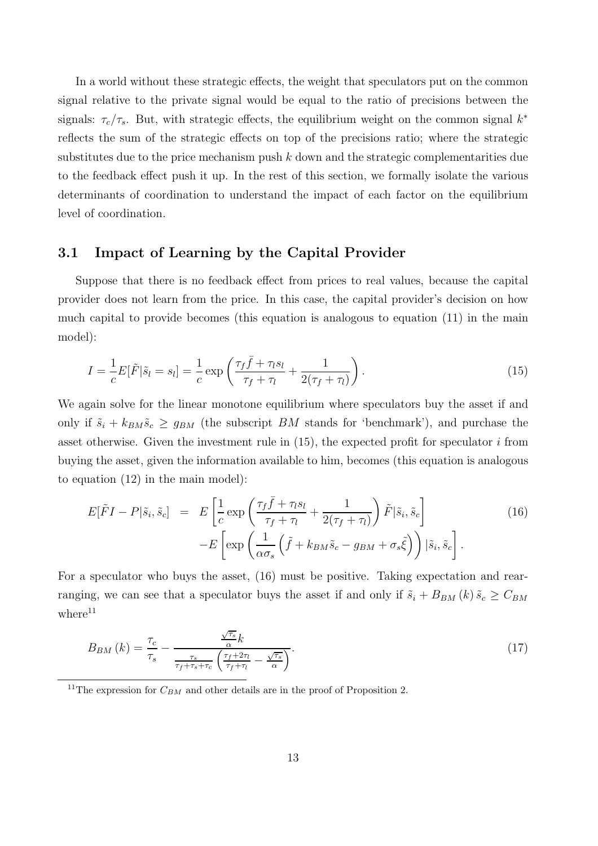In a world without these strategic effects, the weight that speculators put on the common signal relative to the private signal would be equal to the ratio of precisions between the signals:  $\tau_c/\tau_s$ . But, with strategic effects, the equilibrium weight on the common signal  $k^*$ reflects the sum of the strategic effects on top of the precisions ratio; where the strategic substitutes due to the price mechanism push  $k$  down and the strategic complementarities due to the feedback effect push it up. In the rest of this section, we formally isolate the various determinants of coordination to understand the impact of each factor on the equilibrium level of coordination.

## 3.1 Impact of Learning by the Capital Provider

Suppose that there is no feedback effect from prices to real values, because the capital provider does not learn from the price. In this case, the capital provider's decision on how much capital to provide becomes (this equation is analogous to equation (11) in the main model):

$$
I = \frac{1}{c}E[\tilde{F}|\tilde{s}_l = s_l] = \frac{1}{c}\exp\left(\frac{\tau_f\bar{f} + \tau_l s_l}{\tau_f + \tau_l} + \frac{1}{2(\tau_f + \tau_l)}\right). \tag{15}
$$

We again solve for the linear monotone equilibrium where speculators buy the asset if and only if  $\tilde{s}_i + k_{BM}\tilde{s}_c \geq g_{BM}$  (the subscript BM stands for 'benchmark'), and purchase the asset otherwise. Given the investment rule in  $(15)$ , the expected profit for speculator i from buying the asset, given the information available to him, becomes (this equation is analogous to equation (12) in the main model):

$$
E[\tilde{F}I - P|\tilde{s}_i, \tilde{s}_c] = E\left[\frac{1}{c}\exp\left(\frac{\tau_f \bar{f} + \tau_l s_l}{\tau_f + \tau_l} + \frac{1}{2(\tau_f + \tau_l)}\right)\tilde{F}|\tilde{s}_i, \tilde{s}_c\right] - E\left[\exp\left(\frac{1}{\alpha \sigma_s} \left(\tilde{f} + k_{BM} \tilde{s}_c - g_{BM} + \sigma_s \tilde{\xi}\right)\right)|\tilde{s}_i, \tilde{s}_c\right].
$$
\n(16)

For a speculator who buys the asset, (16) must be positive. Taking expectation and rearranging, we can see that a speculator buys the asset if and only if  $\tilde{s}_i + B_{BM} (k) \tilde{s}_c \geq C_{BM}$  $where<sup>11</sup>$ 

$$
B_{BM}\left(k\right) = \frac{\tau_c}{\tau_s} - \frac{\frac{\sqrt{\tau_s}}{\alpha} k}{\frac{\tau_s}{\tau_f + \tau_s + \tau_c} \left(\frac{\tau_f + 2\tau_l}{\tau_f + \tau_l} - \frac{\sqrt{\tau_s}}{\alpha}\right)}.\tag{17}
$$

<sup>&</sup>lt;sup>11</sup>The expression for  $C_{BM}$  and other details are in the proof of Proposition 2.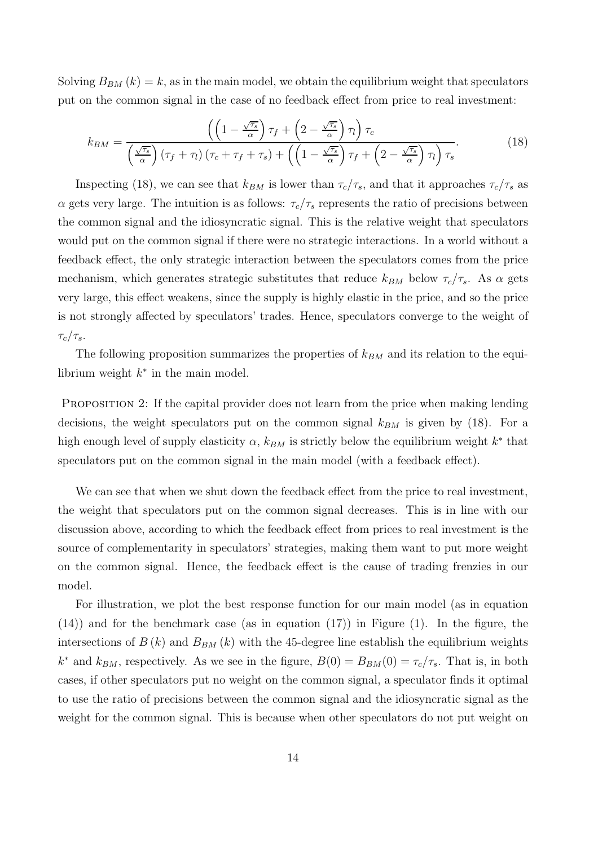Solving  $B_{BM} (k) = k$ , as in the main model, we obtain the equilibrium weight that speculators put on the common signal in the case of no feedback effect from price to real investment:

$$
k_{BM} = \frac{\left(\left(1 - \frac{\sqrt{\tau_s}}{\alpha}\right)\tau_f + \left(2 - \frac{\sqrt{\tau_s}}{\alpha}\right)\tau_l\right)\tau_c}{\left(\frac{\sqrt{\tau_s}}{\alpha}\right)(\tau_f + \tau_l)\left(\tau_c + \tau_f + \tau_s\right) + \left(\left(1 - \frac{\sqrt{\tau_s}}{\alpha}\right)\tau_f + \left(2 - \frac{\sqrt{\tau_s}}{\alpha}\right)\tau_l\right)\tau_s}.
$$
(18)

Inspecting (18), we can see that  $k_{BM}$  is lower than  $\tau_c/\tau_s$ , and that it approaches  $\tau_c/\tau_s$  as  $\alpha$  gets very large. The intuition is as follows:  $\tau_c/\tau_s$  represents the ratio of precisions between the common signal and the idiosyncratic signal. This is the relative weight that speculators would put on the common signal if there were no strategic interactions. In a world without a feedback effect, the only strategic interaction between the speculators comes from the price mechanism, which generates strategic substitutes that reduce  $k_{BM}$  below  $\tau_c/\tau_s$ . As  $\alpha$  gets very large, this effect weakens, since the supply is highly elastic in the price, and so the price is not strongly affected by speculators' trades. Hence, speculators converge to the weight of  $\tau_c/\tau_s$ .

The following proposition summarizes the properties of  $k_{BM}$  and its relation to the equilibrium weight  $k^*$  in the main model.

PROPOSITION 2: If the capital provider does not learn from the price when making lending decisions, the weight speculators put on the common signal  $k_{BM}$  is given by (18). For a high enough level of supply elasticity  $\alpha$ ,  $k_{BM}$  is strictly below the equilibrium weight  $k^*$  that speculators put on the common signal in the main model (with a feedback effect).

We can see that when we shut down the feedback effect from the price to real investment, the weight that speculators put on the common signal decreases. This is in line with our discussion above, according to which the feedback effect from prices to real investment is the source of complementarity in speculators' strategies, making them want to put more weight on the common signal. Hence, the feedback effect is the cause of trading frenzies in our model.

For illustration, we plot the best response function for our main model (as in equation  $(14)$ ) and for the benchmark case (as in equation  $(17)$ ) in Figure (1). In the figure, the intersections of  $B(k)$  and  $B_{BM}(k)$  with the 45-degree line establish the equilibrium weights  $k^*$  and  $k_{BM}$ , respectively. As we see in the figure,  $B(0) = B_{BM}(0) = \tau_c/\tau_s$ . That is, in both cases, if other speculators put no weight on the common signal, a speculator finds it optimal to use the ratio of precisions between the common signal and the idiosyncratic signal as the weight for the common signal. This is because when other speculators do not put weight on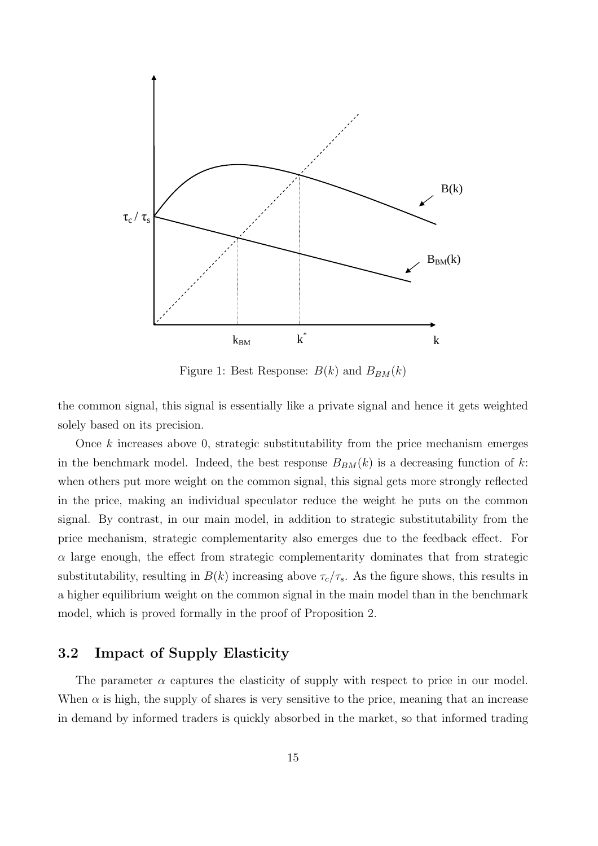

Figure 1: Best Response:  $B(k)$  and  $B_{BM}(k)$ 

the common signal, this signal is essentially like a private signal and hence it gets weighted solely based on its precision.

Once  $k$  increases above 0, strategic substitutability from the price mechanism emerges in the benchmark model. Indeed, the best response  $B_{BM}(k)$  is a decreasing function of k: when others put more weight on the common signal, this signal gets more strongly reflected in the price, making an individual speculator reduce the weight he puts on the common signal. By contrast, in our main model, in addition to strategic substitutability from the price mechanism, strategic complementarity also emerges due to the feedback effect. For  $\alpha$  large enough, the effect from strategic complementarity dominates that from strategic substitutability, resulting in  $B(k)$  increasing above  $\tau_c/\tau_s$ . As the figure shows, this results in a higher equilibrium weight on the common signal in the main model than in the benchmark model, which is proved formally in the proof of Proposition 2.

### 3.2 Impact of Supply Elasticity

The parameter  $\alpha$  captures the elasticity of supply with respect to price in our model. When  $\alpha$  is high, the supply of shares is very sensitive to the price, meaning that an increase in demand by informed traders is quickly absorbed in the market, so that informed trading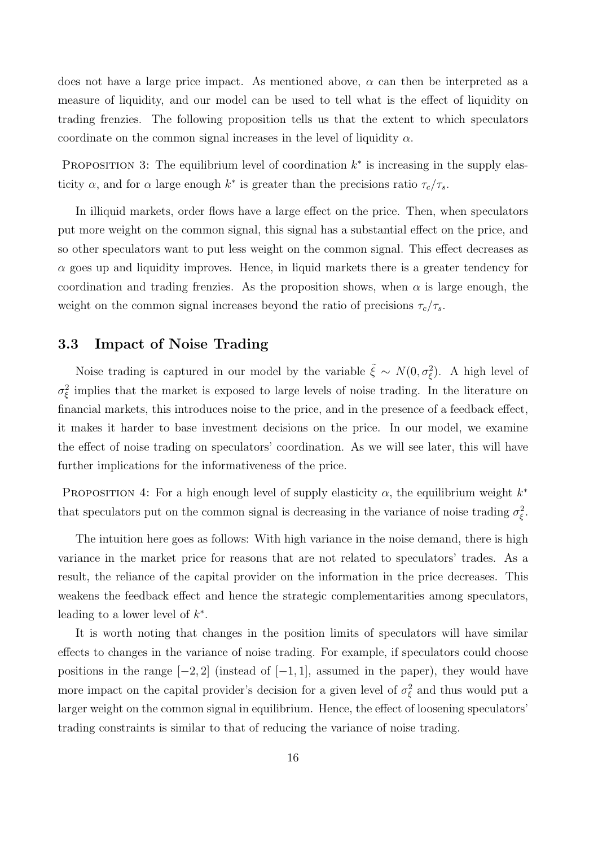does not have a large price impact. As mentioned above,  $\alpha$  can then be interpreted as a measure of liquidity, and our model can be used to tell what is the effect of liquidity on trading frenzies. The following proposition tells us that the extent to which speculators coordinate on the common signal increases in the level of liquidity  $\alpha$ .

PROPOSITION 3: The equilibrium level of coordination  $k^*$  is increasing in the supply elasticity  $\alpha$ , and for  $\alpha$  large enough  $k^*$  is greater than the precisions ratio  $\tau_c/\tau_s$ .

In illiquid markets, order flows have a large effect on the price. Then, when speculators put more weight on the common signal, this signal has a substantial effect on the price, and so other speculators want to put less weight on the common signal. This effect decreases as  $\alpha$  goes up and liquidity improves. Hence, in liquid markets there is a greater tendency for coordination and trading frenzies. As the proposition shows, when  $\alpha$  is large enough, the weight on the common signal increases beyond the ratio of precisions  $\tau_c/\tau_s$ .

#### 3.3 Impact of Noise Trading

Noise trading is captured in our model by the variable  $\tilde{\xi} \sim N(0, \sigma_{\xi}^2)$ . A high level of  $\sigma_{\xi}^{2}$  implies that the market is exposed to large levels of noise trading. In the literature on financial markets, this introduces noise to the price, and in the presence of a feedback effect, it makes it harder to base investment decisions on the price. In our model, we examine the effect of noise trading on speculators' coordination. As we will see later, this will have further implications for the informativeness of the price.

PROPOSITION 4: For a high enough level of supply elasticity  $\alpha$ , the equilibrium weight  $k^*$ that speculators put on the common signal is decreasing in the variance of noise trading  $\sigma_{\xi}^2$ .

The intuition here goes as follows: With high variance in the noise demand, there is high variance in the market price for reasons that are not related to speculators' trades. As a result, the reliance of the capital provider on the information in the price decreases. This weakens the feedback effect and hence the strategic complementarities among speculators, leading to a lower level of  $k^*$ .

It is worth noting that changes in the position limits of speculators will have similar effects to changes in the variance of noise trading. For example, if speculators could choose positions in the range  $[-2, 2]$  (instead of  $[-1, 1]$ , assumed in the paper), they would have more impact on the capital provider's decision for a given level of  $\sigma_{\xi}^2$  and thus would put a larger weight on the common signal in equilibrium. Hence, the effect of loosening speculators' trading constraints is similar to that of reducing the variance of noise trading.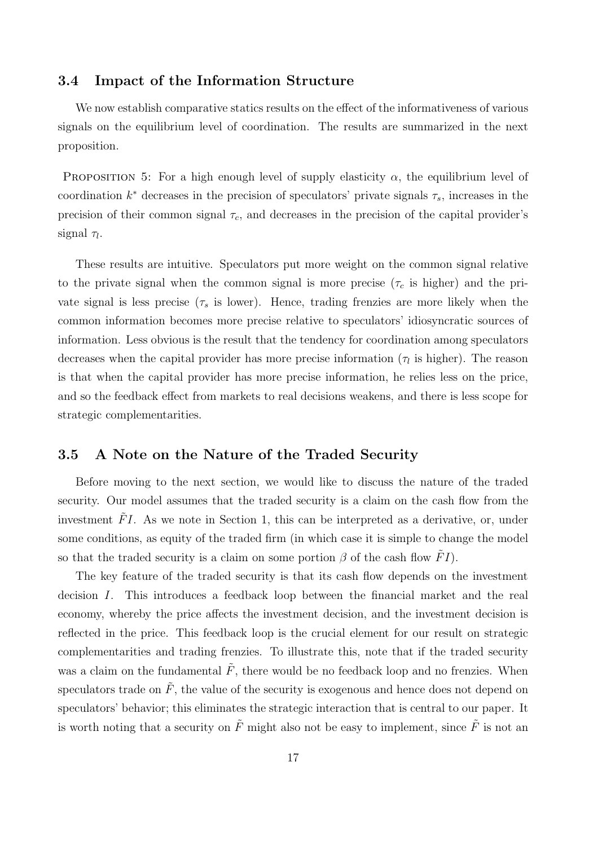### 3.4 Impact of the Information Structure

We now establish comparative statics results on the effect of the informativeness of various signals on the equilibrium level of coordination. The results are summarized in the next proposition.

PROPOSITION 5: For a high enough level of supply elasticity  $\alpha$ , the equilibrium level of coordination  $k^*$  decreases in the precision of speculators' private signals  $\tau_s$ , increases in the precision of their common signal  $\tau_c$ , and decreases in the precision of the capital provider's signal  $\tau_l$ .

These results are intuitive. Speculators put more weight on the common signal relative to the private signal when the common signal is more precise ( $\tau_c$  is higher) and the private signal is less precise ( $\tau_s$  is lower). Hence, trading frenzies are more likely when the common information becomes more precise relative to speculators' idiosyncratic sources of information. Less obvious is the result that the tendency for coordination among speculators decreases when the capital provider has more precise information ( $\tau_l$  is higher). The reason is that when the capital provider has more precise information, he relies less on the price, and so the feedback effect from markets to real decisions weakens, and there is less scope for strategic complementarities.

#### 3.5 A Note on the Nature of the Traded Security

Before moving to the next section, we would like to discuss the nature of the traded security. Our model assumes that the traded security is a claim on the cash flow from the investment  $FI$ . As we note in Section 1, this can be interpreted as a derivative, or, under some conditions, as equity of the traded firm (in which case it is simple to change the model so that the traded security is a claim on some portion  $\beta$  of the cash flow  $\overline{F}I$ .

The key feature of the traded security is that its cash flow depends on the investment decision I. This introduces a feedback loop between the financial market and the real economy, whereby the price affects the investment decision, and the investment decision is reflected in the price. This feedback loop is the crucial element for our result on strategic complementarities and trading frenzies. To illustrate this, note that if the traded security was a claim on the fundamental  $\tilde{F}$ , there would be no feedback loop and no frenzies. When speculators trade on  $\tilde{F}$ , the value of the security is exogenous and hence does not depend on speculators' behavior; this eliminates the strategic interaction that is central to our paper. It is worth noting that a security on  $\tilde{F}$  might also not be easy to implement, since  $\tilde{F}$  is not an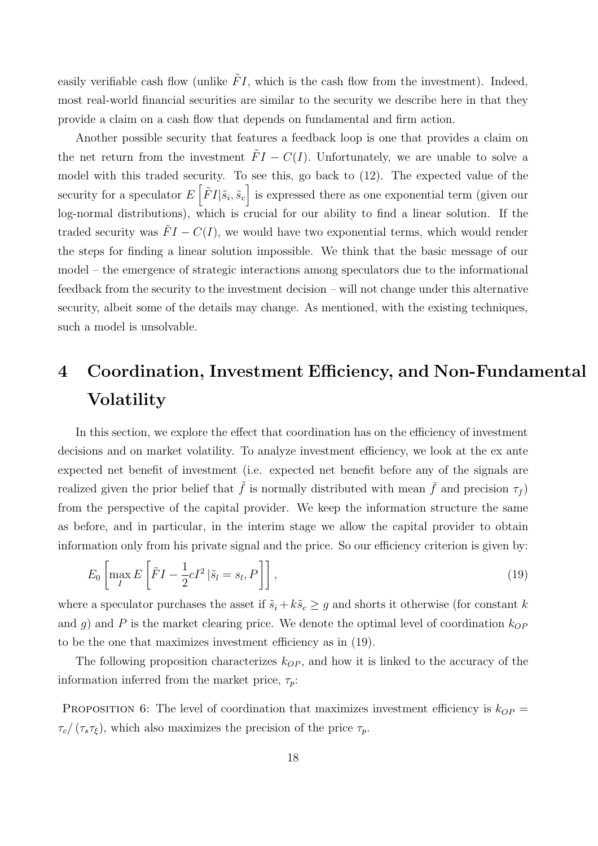easily verifiable cash flow (unlike  $\tilde{F}I$ , which is the cash flow from the investment). Indeed, most real-world financial securities are similar to the security we describe here in that they provide a claim on a cash flow that depends on fundamental and firm action.

Another possible security that features a feedback loop is one that provides a claim on the net return from the investment  $\tilde{F}I - C(I)$ . Unfortunately, we are unable to solve a model with this traded security. To see this, go back to (12). The expected value of the security for a speculator  $E\left[\tilde{F}I|\tilde{s}_i,\tilde{s}_c\right]$  is expressed there as one exponential term (given our log-normal distributions), which is crucial for our ability to find a linear solution. If the traded security was  $FI - C(I)$ , we would have two exponential terms, which would render the steps for finding a linear solution impossible. We think that the basic message of our model – the emergence of strategic interactions among speculators due to the informational feedback from the security to the investment decision – will not change under this alternative security, albeit some of the details may change. As mentioned, with the existing techniques, such a model is unsolvable.

# 4 Coordination, Investment Efficiency, and Non-Fundamental Volatility

In this section, we explore the effect that coordination has on the efficiency of investment decisions and on market volatility. To analyze investment efficiency, we look at the ex ante expected net benefit of investment (i.e. expected net benefit before any of the signals are realized given the prior belief that  $\tilde{f}$  is normally distributed with mean  $\bar{f}$  and precision  $\tau_f$ ) from the perspective of the capital provider. We keep the information structure the same as before, and in particular, in the interim stage we allow the capital provider to obtain information only from his private signal and the price. So our efficiency criterion is given by:

$$
E_0 \left[ \max_{I} E\left[ \tilde{F}I - \frac{1}{2} cI^2 \left| \tilde{s}_l = s_l, P \right| \right] \right], \tag{19}
$$

where a speculator purchases the asset if  $\tilde{s}_i + k\tilde{s}_c \geq g$  and shorts it otherwise (for constant k and g) and P is the market clearing price. We denote the optimal level of coordination  $k_{OP}$ to be the one that maximizes investment efficiency as in (19).

The following proposition characterizes  $k_{OP}$ , and how it is linked to the accuracy of the information inferred from the market price,  $\tau_p$ :

PROPOSITION 6: The level of coordination that maximizes investment efficiency is  $k_{OP}$  =  $\tau_c / (\tau_s \tau_{\xi}),$  which also maximizes the precision of the price  $\tau_p$ .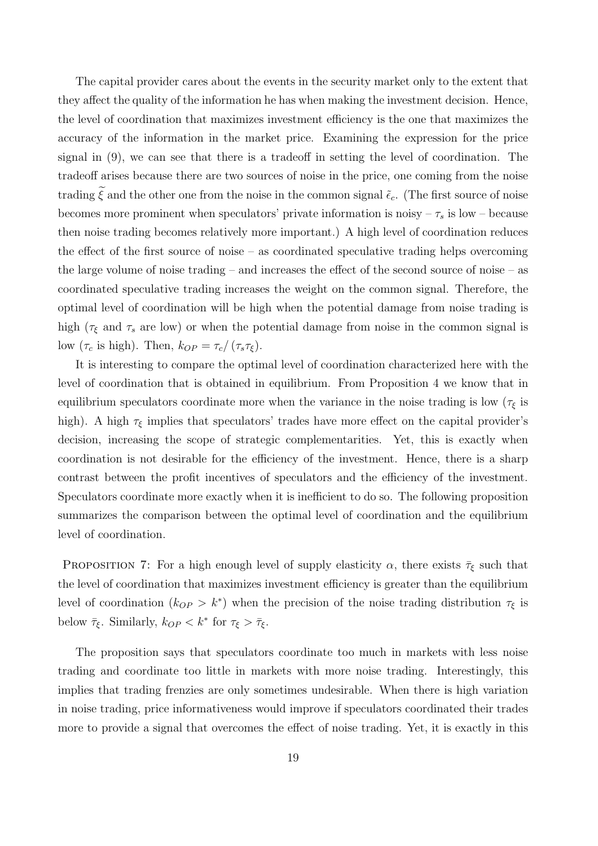The capital provider cares about the events in the security market only to the extent that they affect the quality of the information he has when making the investment decision. Hence, the level of coordination that maximizes investment efficiency is the one that maximizes the accuracy of the information in the market price. Examining the expression for the price signal in (9), we can see that there is a tradeoff in setting the level of coordination. The tradeoff arises because there are two sources of noise in the price, one coming from the noise trading  $\tilde{\xi}$  and the other one from the noise in the common signal  $\tilde{\epsilon}_c$ . (The first source of noise becomes more prominent when speculators' private information is noisy  $-\tau_s$  is low – because then noise trading becomes relatively more important.) A high level of coordination reduces the effect of the first source of noise – as coordinated speculative trading helps overcoming the large volume of noise trading – and increases the effect of the second source of noise – as coordinated speculative trading increases the weight on the common signal. Therefore, the optimal level of coordination will be high when the potential damage from noise trading is high ( $\tau_{\xi}$  and  $\tau_{s}$  are low) or when the potential damage from noise in the common signal is low ( $\tau_c$  is high). Then,  $k_{OP} = \tau_c / (\tau_s \tau_{\xi})$ .

It is interesting to compare the optimal level of coordination characterized here with the level of coordination that is obtained in equilibrium. From Proposition 4 we know that in equilibrium speculators coordinate more when the variance in the noise trading is low ( $\tau_{\xi}$  is high). A high  $\tau_{\xi}$  implies that speculators' trades have more effect on the capital provider's decision, increasing the scope of strategic complementarities. Yet, this is exactly when coordination is not desirable for the efficiency of the investment. Hence, there is a sharp contrast between the profit incentives of speculators and the efficiency of the investment. Speculators coordinate more exactly when it is inefficient to do so. The following proposition summarizes the comparison between the optimal level of coordination and the equilibrium level of coordination.

PROPOSITION 7: For a high enough level of supply elasticity  $\alpha$ , there exists  $\bar{\tau}_{\xi}$  such that the level of coordination that maximizes investment efficiency is greater than the equilibrium level of coordination  $(k_{OP} > k^*)$  when the precision of the noise trading distribution  $\tau_{\xi}$  is below  $\bar{\tau}_{\xi}$ . Similarly,  $k_{OP} < k^*$  for  $\tau_{\xi} > \bar{\tau}_{\xi}$ .

The proposition says that speculators coordinate too much in markets with less noise trading and coordinate too little in markets with more noise trading. Interestingly, this implies that trading frenzies are only sometimes undesirable. When there is high variation in noise trading, price informativeness would improve if speculators coordinated their trades more to provide a signal that overcomes the effect of noise trading. Yet, it is exactly in this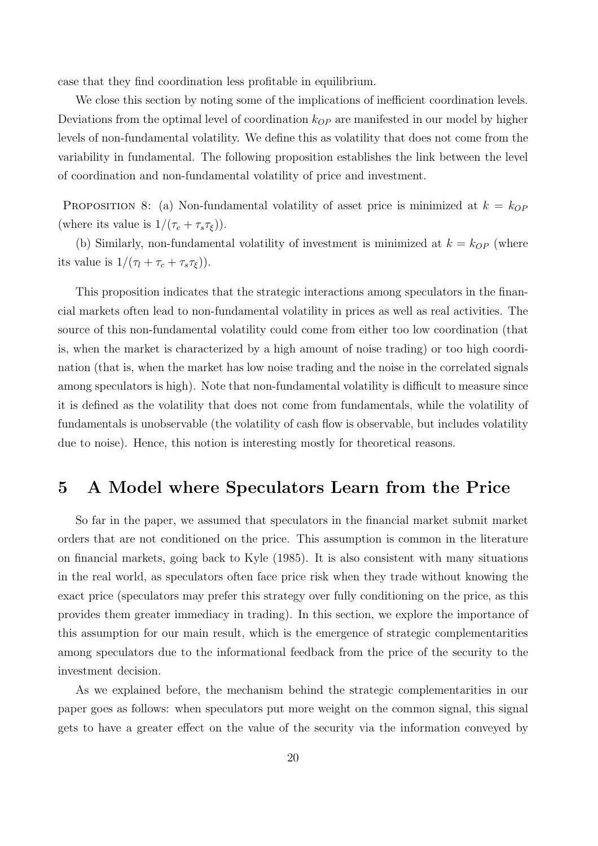case that they find coordination less profitable in equilibrium.

We close this section by noting some of the implications of inefficient coordination levels. Deviations from the optimal level of coordination  $k_{OP}$  are manifested in our model by higher levels of non-fundamental volatility. We define this as volatility that does not come from the variability in fundamental. The following proposition establishes the link between the level of coordination and non-fundamental volatility of price and investment.

**PROPOSITION 8:** (a) Non-fundamental volatility of asset price is minimized at  $k = k_{OP}$ (where its value is  $1/(\tau_c + \tau_s \tau_{\xi})$ ).

(b) Similarly, non-fundamental volatility of investment is minimized at  $k = k_{OP}$  (where its value is  $1/(\tau_l + \tau_c + \tau_s \tau_{\xi})).$ 

This proposition indicates that the strategic interactions among speculators in the financial markets often lead to non-fundamental volatility in prices as well as real activities. The source of this non-fundamental volatility could come from either too low coordination (that is, when the market is characterized by a high amount of noise trading) or too high coordination (that is, when the market has low noise trading and the noise in the correlated signals among speculators is high). Note that non-fundamental volatility is difficult to measure since it is defined as the volatility that does not come from fundamentals, while the volatility of fundamentals is unobservable (the volatility of cash flow is observable, but includes volatility due to noise). Hence, this notion is interesting mostly for theoretical reasons.

## 5 A Model where Speculators Learn from the Price

So far in the paper, we assumed that speculators in the financial market submit market orders that are not conditioned on the price. This assumption is common in the literature on financial markets, going back to Kyle (1985). It is also consistent with many situations in the real world, as speculators often face price risk when they trade without knowing the exact price (speculators may prefer this strategy over fully conditioning on the price, as this provides them greater immediacy in trading). In this section, we explore the importance of this assumption for our main result, which is the emergence of strategic complementarities among speculators due to the informational feedback from the price of the security to the investment decision.

As we explained before, the mechanism behind the strategic complementarities in our paper goes as follows: when speculators put more weight on the common signal, this signal gets to have a greater effect on the value of the security via the information conveyed by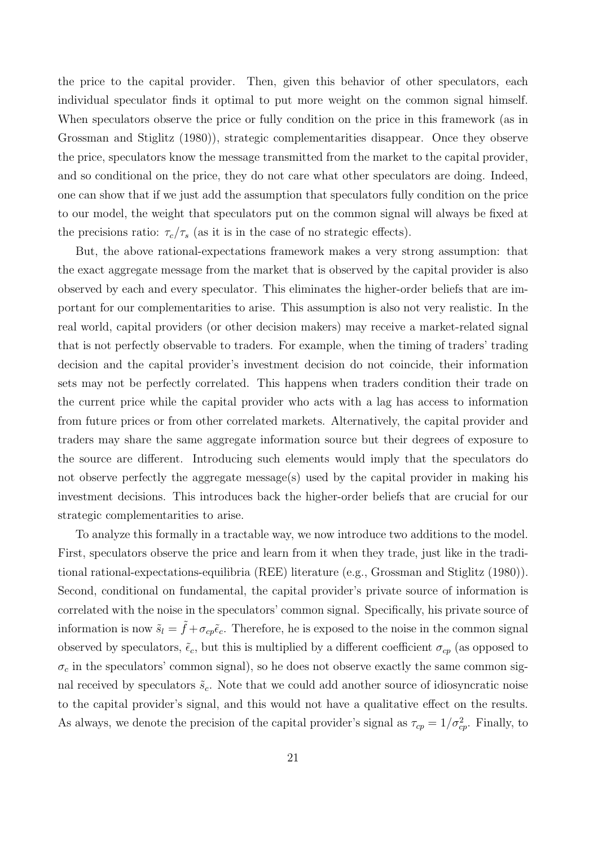the price to the capital provider. Then, given this behavior of other speculators, each individual speculator finds it optimal to put more weight on the common signal himself. When speculators observe the price or fully condition on the price in this framework (as in Grossman and Stiglitz (1980)), strategic complementarities disappear. Once they observe the price, speculators know the message transmitted from the market to the capital provider, and so conditional on the price, they do not care what other speculators are doing. Indeed, one can show that if we just add the assumption that speculators fully condition on the price to our model, the weight that speculators put on the common signal will always be fixed at the precisions ratio:  $\tau_c/\tau_s$  (as it is in the case of no strategic effects).

But, the above rational-expectations framework makes a very strong assumption: that the exact aggregate message from the market that is observed by the capital provider is also observed by each and every speculator. This eliminates the higher-order beliefs that are important for our complementarities to arise. This assumption is also not very realistic. In the real world, capital providers (or other decision makers) may receive a market-related signal that is not perfectly observable to traders. For example, when the timing of traders' trading decision and the capital provider's investment decision do not coincide, their information sets may not be perfectly correlated. This happens when traders condition their trade on the current price while the capital provider who acts with a lag has access to information from future prices or from other correlated markets. Alternatively, the capital provider and traders may share the same aggregate information source but their degrees of exposure to the source are different. Introducing such elements would imply that the speculators do not observe perfectly the aggregate message(s) used by the capital provider in making his investment decisions. This introduces back the higher-order beliefs that are crucial for our strategic complementarities to arise.

To analyze this formally in a tractable way, we now introduce two additions to the model. First, speculators observe the price and learn from it when they trade, just like in the traditional rational-expectations-equilibria (REE) literature (e.g., Grossman and Stiglitz (1980)). Second, conditional on fundamental, the capital provider's private source of information is correlated with the noise in the speculators' common signal. Specifically, his private source of information is now  $\tilde{s}_l = \tilde{f} + \sigma_{cp} \tilde{\epsilon}_c$ . Therefore, he is exposed to the noise in the common signal observed by speculators,  $\tilde{\epsilon}_c$ , but this is multiplied by a different coefficient  $\sigma_{cp}$  (as opposed to  $\sigma_c$  in the speculators' common signal), so he does not observe exactly the same common signal received by speculators  $\tilde{s}_c$ . Note that we could add another source of idiosyncratic noise to the capital provider's signal, and this would not have a qualitative effect on the results. As always, we denote the precision of the capital provider's signal as  $\tau_{cp} = 1/\sigma_{cp}^2$ . Finally, to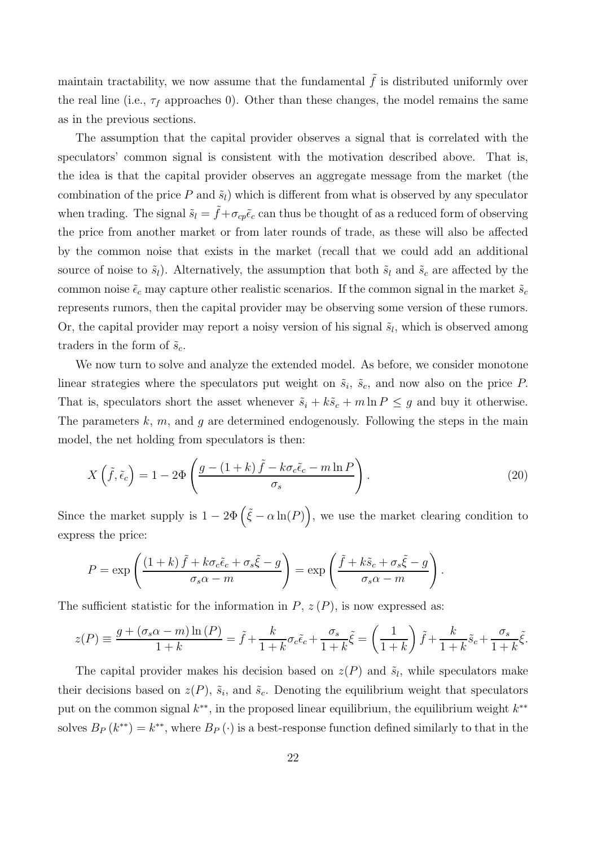maintain tractability, we now assume that the fundamental  $\hat{f}$  is distributed uniformly over the real line (i.e.,  $\tau_f$  approaches 0). Other than these changes, the model remains the same as in the previous sections.

The assumption that the capital provider observes a signal that is correlated with the speculators' common signal is consistent with the motivation described above. That is, the idea is that the capital provider observes an aggregate message from the market (the combination of the price P and  $\tilde{s}_l$ ) which is different from what is observed by any speculator when trading. The signal  $\tilde{s}_l = \tilde{f} + \sigma_{cp} \tilde{\epsilon}_c$  can thus be thought of as a reduced form of observing the price from another market or from later rounds of trade, as these will also be affected by the common noise that exists in the market (recall that we could add an additional source of noise to  $\tilde{s}_l$ ). Alternatively, the assumption that both  $\tilde{s}_l$  and  $\tilde{s}_c$  are affected by the common noise  $\tilde{\epsilon}_c$  may capture other realistic scenarios. If the common signal in the market  $\tilde{s}_c$ represents rumors, then the capital provider may be observing some version of these rumors. Or, the capital provider may report a noisy version of his signal  $\tilde{s}_l$ , which is observed among traders in the form of  $\tilde{s}_c$ .

We now turn to solve and analyze the extended model. As before, we consider monotone linear strategies where the speculators put weight on  $\tilde{s}_i$ ,  $\tilde{s}_c$ , and now also on the price P. That is, speculators short the asset whenever  $\tilde{s}_i + k\tilde{s}_c + m \ln P \leq g$  and buy it otherwise. The parameters  $k, m$ , and  $g$  are determined endogenously. Following the steps in the main model, the net holding from speculators is then:

$$
X\left(\tilde{f},\tilde{\epsilon}_c\right) = 1 - 2\Phi\left(\frac{g - (1+k)\,\tilde{f} - k\sigma_c\tilde{\epsilon}_c - m\ln P}{\sigma_s}\right). \tag{20}
$$

Since the market supply is  $1 - 2\Phi\left(\tilde{\xi} - \alpha \ln(P)\right)$ , we use the market clearing condition to express the price:

$$
P = \exp\left(\frac{(1+k)\tilde{f} + k\sigma_c \tilde{\epsilon}_c + \sigma_s \tilde{\xi} - g}{\sigma_s \alpha - m}\right) = \exp\left(\frac{\tilde{f} + k\tilde{s}_c + \sigma_s \tilde{\xi} - g}{\sigma_s \alpha - m}\right).
$$

The sufficient statistic for the information in  $P$ ,  $z(P)$ , is now expressed as:

$$
z(P) \equiv \frac{g + (\sigma_s \alpha - m) \ln(P)}{1 + k} = \tilde{f} + \frac{k}{1 + k} \sigma_c \tilde{\epsilon}_c + \frac{\sigma_s}{1 + k} \tilde{\xi} = \left(\frac{1}{1 + k}\right) \tilde{f} + \frac{k}{1 + k} \tilde{s}_c + \frac{\sigma_s}{1 + k} \tilde{\xi}.
$$

The capital provider makes his decision based on  $z(P)$  and  $\tilde{s}_l$ , while speculators make their decisions based on  $z(P)$ ,  $\tilde{s}_i$ , and  $\tilde{s}_c$ . Denoting the equilibrium weight that speculators put on the common signal  $k^{**}$ , in the proposed linear equilibrium, the equilibrium weight  $k^{**}$ solves  $B_P(k^{**}) = k^{**}$ , where  $B_P(\cdot)$  is a best-response function defined similarly to that in the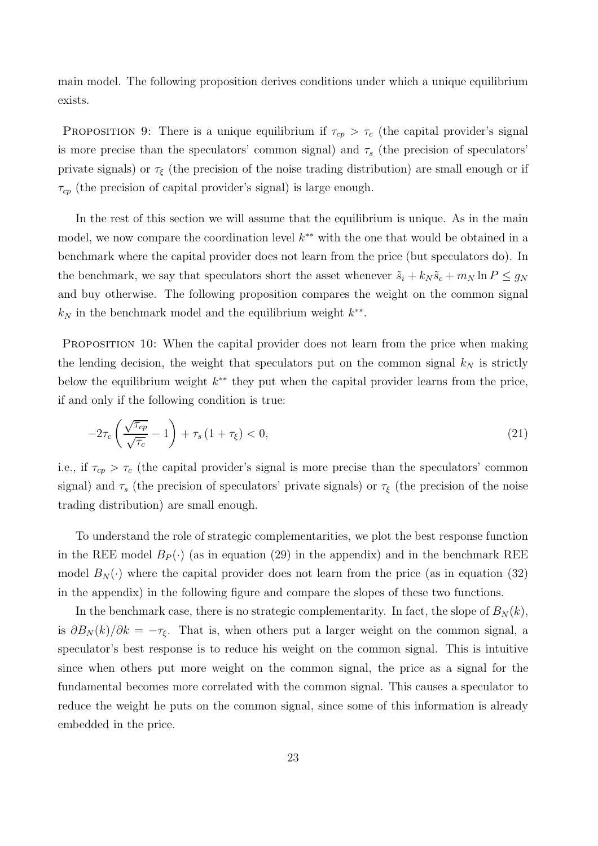main model. The following proposition derives conditions under which a unique equilibrium exists.

PROPOSITION 9: There is a unique equilibrium if  $\tau_{cp} > \tau_c$  (the capital provider's signal is more precise than the speculators' common signal) and  $\tau_s$  (the precision of speculators' private signals) or  $\tau_{\xi}$  (the precision of the noise trading distribution) are small enough or if  $\tau_{cp}$  (the precision of capital provider's signal) is large enough.

In the rest of this section we will assume that the equilibrium is unique. As in the main model, we now compare the coordination level  $k^{**}$  with the one that would be obtained in a benchmark where the capital provider does not learn from the price (but speculators do). In the benchmark, we say that speculators short the asset whenever  $\tilde{s}_i + k_N \tilde{s}_c + m_N \ln P \le g_N$ and buy otherwise. The following proposition compares the weight on the common signal  $k_N$  in the benchmark model and the equilibrium weight  $k^{**}$ .

PROPOSITION 10: When the capital provider does not learn from the price when making the lending decision, the weight that speculators put on the common signal  $k_N$  is strictly below the equilibrium weight  $k^{**}$  they put when the capital provider learns from the price, if and only if the following condition is true:

$$
-2\tau_c \left(\frac{\sqrt{\tau_{cp}}}{\sqrt{\tau_c}} - 1\right) + \tau_s \left(1 + \tau_\xi\right) < 0,\tag{21}
$$

i.e., if  $\tau_{cp} > \tau_c$  (the capital provider's signal is more precise than the speculators' common signal) and  $\tau_s$  (the precision of speculators' private signals) or  $\tau_{\xi}$  (the precision of the noise trading distribution) are small enough.

To understand the role of strategic complementarities, we plot the best response function in the REE model  $B_P(\cdot)$  (as in equation (29) in the appendix) and in the benchmark REE model  $B_N(\cdot)$  where the capital provider does not learn from the price (as in equation (32) in the appendix) in the following figure and compare the slopes of these two functions.

In the benchmark case, there is no strategic complementarity. In fact, the slope of  $B_N(k)$ , is  $\partial B_N(k)/\partial k = -\tau_{\xi}$ . That is, when others put a larger weight on the common signal, a speculator's best response is to reduce his weight on the common signal. This is intuitive since when others put more weight on the common signal, the price as a signal for the fundamental becomes more correlated with the common signal. This causes a speculator to reduce the weight he puts on the common signal, since some of this information is already embedded in the price.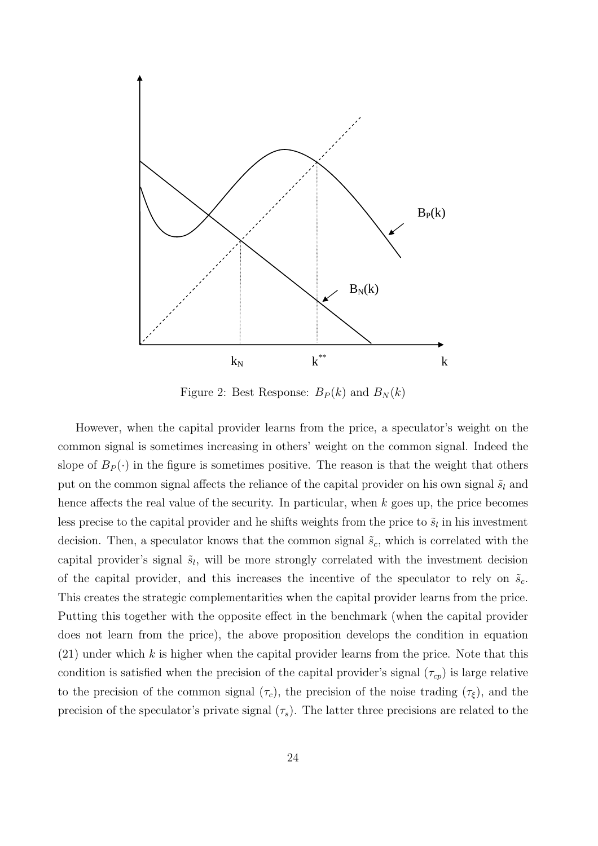

Figure 2: Best Response:  $B_P(k)$  and  $B_N(k)$ 

However, when the capital provider learns from the price, a speculator's weight on the common signal is sometimes increasing in others' weight on the common signal. Indeed the slope of  $B_P(\cdot)$  in the figure is sometimes positive. The reason is that the weight that others put on the common signal affects the reliance of the capital provider on his own signal  $\tilde{s}_l$  and hence affects the real value of the security. In particular, when  $k$  goes up, the price becomes less precise to the capital provider and he shifts weights from the price to  $\tilde{s}_l$  in his investment decision. Then, a speculator knows that the common signal  $\tilde{s}_c$ , which is correlated with the capital provider's signal  $\tilde{s}_l$ , will be more strongly correlated with the investment decision of the capital provider, and this increases the incentive of the speculator to rely on  $\tilde{s}_c$ . This creates the strategic complementarities when the capital provider learns from the price. Putting this together with the opposite effect in the benchmark (when the capital provider does not learn from the price), the above proposition develops the condition in equation  $(21)$  under which k is higher when the capital provider learns from the price. Note that this condition is satisfied when the precision of the capital provider's signal  $(\tau_{cp})$  is large relative to the precision of the common signal  $(\tau_c)$ , the precision of the noise trading  $(\tau_{\xi})$ , and the precision of the speculator's private signal  $(\tau_s)$ . The latter three precisions are related to the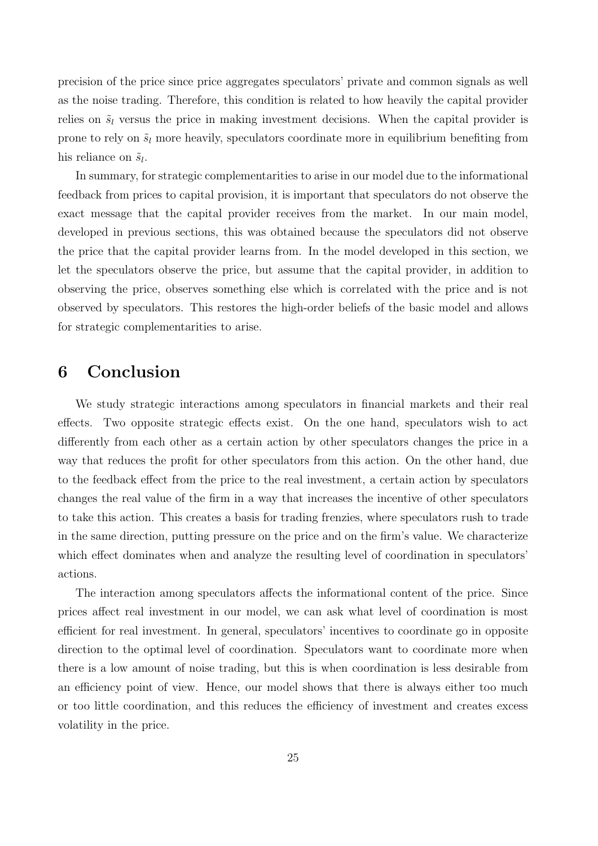precision of the price since price aggregates speculators' private and common signals as well as the noise trading. Therefore, this condition is related to how heavily the capital provider relies on  $\tilde{s}_l$  versus the price in making investment decisions. When the capital provider is prone to rely on  $\tilde{s}_l$  more heavily, speculators coordinate more in equilibrium benefiting from his reliance on  $\tilde{s}_l$ .

In summary, for strategic complementarities to arise in our model due to the informational feedback from prices to capital provision, it is important that speculators do not observe the exact message that the capital provider receives from the market. In our main model, developed in previous sections, this was obtained because the speculators did not observe the price that the capital provider learns from. In the model developed in this section, we let the speculators observe the price, but assume that the capital provider, in addition to observing the price, observes something else which is correlated with the price and is not observed by speculators. This restores the high-order beliefs of the basic model and allows for strategic complementarities to arise.

# 6 Conclusion

We study strategic interactions among speculators in financial markets and their real effects. Two opposite strategic effects exist. On the one hand, speculators wish to act differently from each other as a certain action by other speculators changes the price in a way that reduces the profit for other speculators from this action. On the other hand, due to the feedback effect from the price to the real investment, a certain action by speculators changes the real value of the firm in a way that increases the incentive of other speculators to take this action. This creates a basis for trading frenzies, where speculators rush to trade in the same direction, putting pressure on the price and on the firm's value. We characterize which effect dominates when and analyze the resulting level of coordination in speculators' actions.

The interaction among speculators affects the informational content of the price. Since prices affect real investment in our model, we can ask what level of coordination is most efficient for real investment. In general, speculators' incentives to coordinate go in opposite direction to the optimal level of coordination. Speculators want to coordinate more when there is a low amount of noise trading, but this is when coordination is less desirable from an efficiency point of view. Hence, our model shows that there is always either too much or too little coordination, and this reduces the efficiency of investment and creates excess volatility in the price.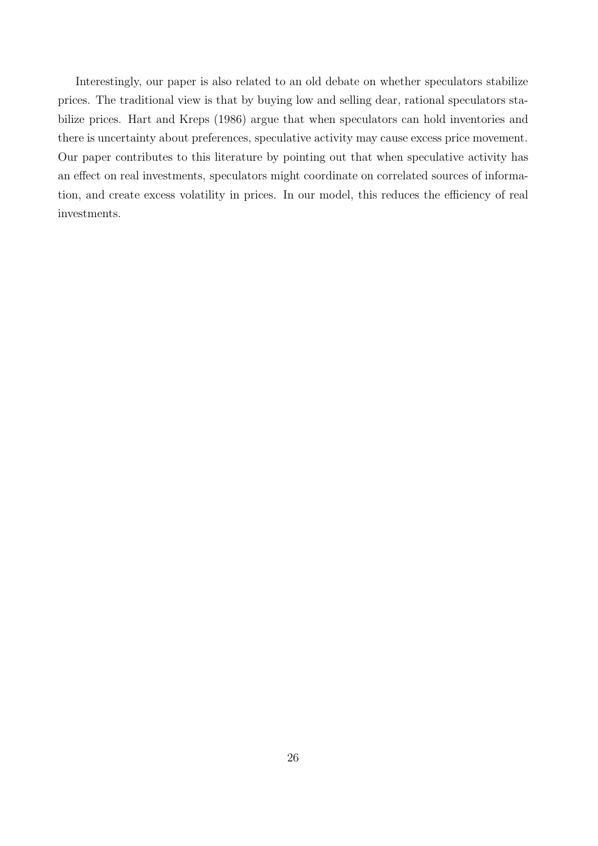Interestingly, our paper is also related to an old debate on whether speculators stabilize prices. The traditional view is that by buying low and selling dear, rational speculators stabilize prices. Hart and Kreps (1986) argue that when speculators can hold inventories and there is uncertainty about preferences, speculative activity may cause excess price movement. Our paper contributes to this literature by pointing out that when speculative activity has an effect on real investments, speculators might coordinate on correlated sources of information, and create excess volatility in prices. In our model, this reduces the efficiency of real investments.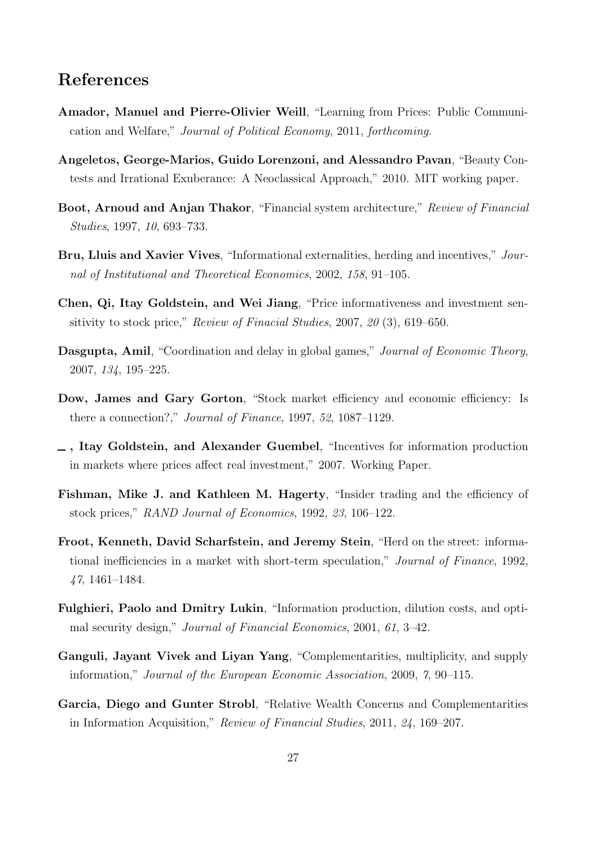# References

- Amador, Manuel and Pierre-Olivier Weill, "Learning from Prices: Public Communication and Welfare," Journal of Political Economy, 2011, forthcoming.
- Angeletos, George-Marios, Guido Lorenzoni, and Alessandro Pavan, "Beauty Contests and Irrational Exuberance: A Neoclassical Approach," 2010. MIT working paper.
- Boot, Arnoud and Anjan Thakor, "Financial system architecture," Review of Financial Studies, 1997, 10, 693–733.
- Bru, Lluis and Xavier Vives, "Informational externalities, herding and incentives," Journal of Institutional and Theoretical Economics, 2002, 158, 91–105.
- Chen, Qi, Itay Goldstein, and Wei Jiang, "Price informativeness and investment sensitivity to stock price," Review of Finacial Studies, 2007, 20 (3), 619–650.
- Dasgupta, Amil, "Coordination and delay in global games," Journal of Economic Theory, 2007, 134, 195–225.
- Dow, James and Gary Gorton, "Stock market efficiency and economic efficiency: Is there a connection?," Journal of Finance, 1997, 52, 1087–1129.
- , Itay Goldstein, and Alexander Guembel, "Incentives for information production in markets where prices affect real investment," 2007. Working Paper.
- Fishman, Mike J. and Kathleen M. Hagerty, "Insider trading and the efficiency of stock prices," RAND Journal of Economics, 1992, 23, 106–122.
- Froot, Kenneth, David Scharfstein, and Jeremy Stein, "Herd on the street: informational inefficiencies in a market with short-term speculation," Journal of Finance, 1992, 47, 1461–1484.
- Fulghieri, Paolo and Dmitry Lukin, "Information production, dilution costs, and optimal security design," Journal of Financial Economics, 2001, 61, 3–42.
- Ganguli, Jayant Vivek and Liyan Yang, "Complementarities, multiplicity, and supply information," Journal of the European Economic Association, 2009, 7, 90–115.
- Garcia, Diego and Gunter Strobl, "Relative Wealth Concerns and Complementarities in Information Acquisition," Review of Financial Studies, 2011, 24, 169–207.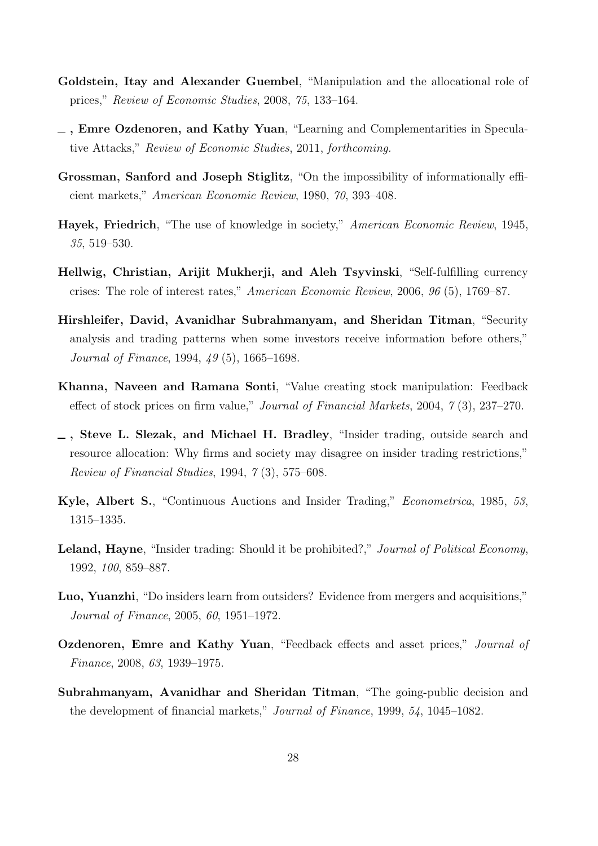- Goldstein, Itay and Alexander Guembel, "Manipulation and the allocational role of prices," Review of Economic Studies, 2008, 75, 133–164.
- , Emre Ozdenoren, and Kathy Yuan, "Learning and Complementarities in Speculative Attacks," Review of Economic Studies, 2011, forthcoming.
- Grossman, Sanford and Joseph Stiglitz, "On the impossibility of informationally efficient markets," American Economic Review, 1980, 70, 393–408.
- Hayek, Friedrich, "The use of knowledge in society," American Economic Review, 1945, 35, 519–530.
- Hellwig, Christian, Arijit Mukherji, and Aleh Tsyvinski, "Self-fulfilling currency crises: The role of interest rates," American Economic Review, 2006, 96 (5), 1769–87.
- Hirshleifer, David, Avanidhar Subrahmanyam, and Sheridan Titman, "Security analysis and trading patterns when some investors receive information before others," Journal of Finance, 1994, 49 (5), 1665–1698.
- Khanna, Naveen and Ramana Sonti, "Value creating stock manipulation: Feedback effect of stock prices on firm value," Journal of Financial Markets, 2004, 7 (3), 237–270.
- , Steve L. Slezak, and Michael H. Bradley, "Insider trading, outside search and resource allocation: Why firms and society may disagree on insider trading restrictions," Review of Financial Studies, 1994, 7 (3), 575–608.
- Kyle, Albert S., "Continuous Auctions and Insider Trading," Econometrica, 1985, 53, 1315–1335.
- Leland, Hayne, "Insider trading: Should it be prohibited?," Journal of Political Economy, 1992, 100, 859–887.
- Luo, Yuanzhi, "Do insiders learn from outsiders? Evidence from mergers and acquisitions," Journal of Finance, 2005, 60, 1951–1972.
- Ozdenoren, Emre and Kathy Yuan, "Feedback effects and asset prices," Journal of Finance, 2008, 63, 1939–1975.
- Subrahmanyam, Avanidhar and Sheridan Titman, "The going-public decision and the development of financial markets," Journal of Finance, 1999, 54, 1045–1082.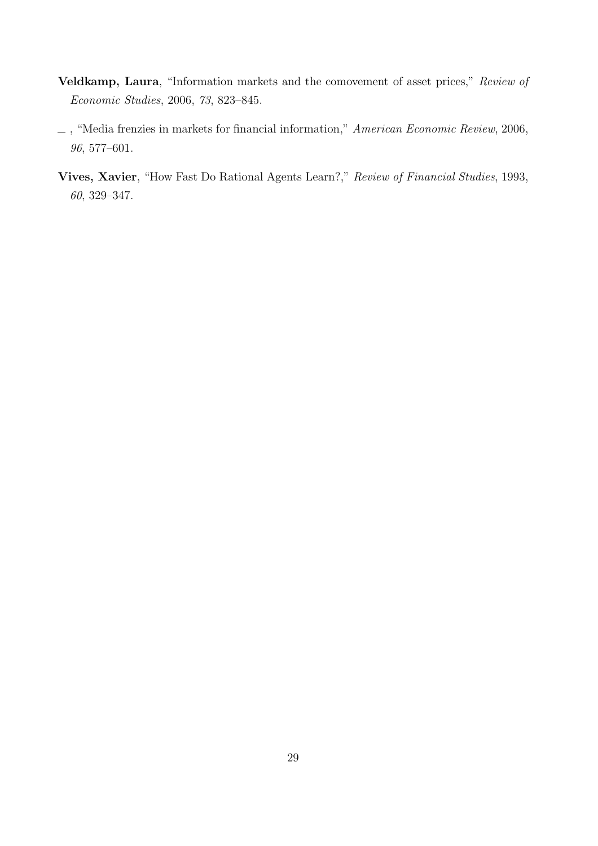- Veldkamp, Laura, "Information markets and the comovement of asset prices," Review of Economic Studies, 2006, 73, 823–845.
- $\ldots$ , "Media frenzies in markets for financial information," American Economic Review, 2006, 96, 577–601.
- Vives, Xavier, "How Fast Do Rational Agents Learn?," Review of Financial Studies, 1993, 60, 329–347.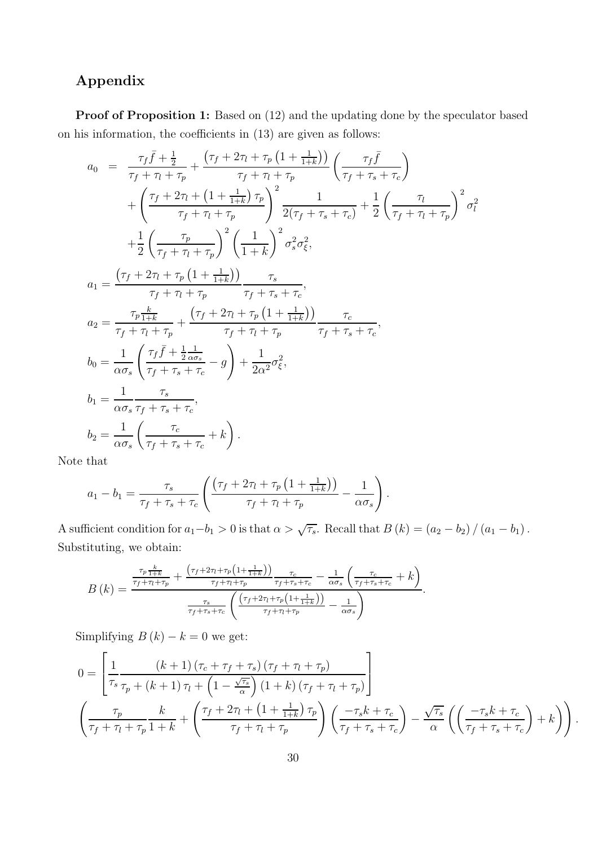## Appendix

Proof of Proposition 1: Based on  $(12)$  and the updating done by the speculator based on his information, the coefficients in (13) are given as follows:

$$
a_0 = \frac{\tau_f \bar{f} + \frac{1}{2}}{\tau_f + \tau_l + \tau_p} + \frac{(\tau_f + 2\tau_l + \tau_p (1 + \frac{1}{1+k}))}{\tau_f + \tau_l + \tau_p} \left(\frac{\tau_f \bar{f}}{\tau_f + \tau_s + \tau_c}\right) + \left(\frac{\tau_f + 2\tau_l + (1 + \frac{1}{1+k})\tau_p}{\tau_f + \tau_l + \tau_p}\right)^2 \frac{1}{2(\tau_f + \tau_s + \tau_c)} + \frac{1}{2} \left(\frac{\tau_l}{\tau_f + \tau_l + \tau_p}\right)^2 \sigma_l^2 + \frac{1}{2} \left(\frac{\tau_p}{\tau_f + \tau_l + \tau_p} \right)^2 \left(\frac{1}{1+k}\right)^2 \sigma_s^2 \sigma_\xi^2,
$$
  

$$
a_1 = \frac{(\tau_f + 2\tau_l + \tau_p (1 + \frac{1}{1+k}))}{\tau_f + \tau_l + \tau_p} \frac{\tau_s}{\tau_f + \tau_s + \tau_c},
$$
  

$$
a_2 = \frac{\tau_p \frac{k}{1+k}}{\tau_f + \tau_l + \tau_p} + \frac{(\tau_f + 2\tau_l + \tau_p (1 + \frac{1}{1+k}))}{\tau_f + \tau_l + \tau_p} \frac{\tau_c}{\tau_f + \tau_s + \tau_c},
$$
  

$$
b_0 = \frac{1}{\alpha \sigma_s} \left(\frac{\tau_f \bar{f} + \frac{1}{2} \frac{1}{\alpha \sigma_s}}{\tau_f + \tau_s + \tau_c} - g\right) + \frac{1}{2\alpha^2} \sigma_\xi^2,
$$
  

$$
b_1 = \frac{1}{\alpha \sigma_s} \frac{\tau_s}{\tau_f + \tau_s + \tau_c},
$$
  

$$
b_2 = \frac{1}{\alpha \sigma_s} \left(\frac{\tau_c}{\tau_f + \tau_s + \tau_c} + k\right).
$$

Note that

$$
a_1 - b_1 = \frac{\tau_s}{\tau_f + \tau_s + \tau_c} \left( \frac{\left(\tau_f + 2\tau_l + \tau_p \left(1 + \frac{1}{1+k}\right)\right)}{\tau_f + \tau_l + \tau_p} - \frac{1}{\alpha \sigma_s} \right).
$$

A sufficient condition for  $a_1-b_1 > 0$  is that  $\alpha > \sqrt{\tau_s}$ . Recall that  $B(k) = (a_2 - b_2) / (a_1 - b_1)$ . Substituting, we obtain:

$$
B(k) = \frac{\frac{\tau_p \frac{k}{1+k}}{\tau_f + \tau_l + \tau_p} + \frac{(\tau_f + 2\tau_l + \tau_p(1 + \frac{1}{1+k}))}{\tau_f + \tau_i + \tau_p} \frac{\tau_c}{\tau_f + \tau_s + \tau_c} - \frac{1}{\alpha \sigma_s} \left( \frac{\tau_c}{\tau_f + \tau_s + \tau_c} + k \right)}{\frac{\tau_s}{\tau_f + \tau_s + \tau_c} \left( \frac{(\tau_f + 2\tau_l + \tau_p(1 + \frac{1}{1+k}))}{\tau_f + \tau_i + \tau_p} - \frac{1}{\alpha \sigma_s} \right)}.
$$

Simplifying  $B(k) - k = 0$  we get:

$$
0 = \left[\frac{1}{\tau_s} \frac{\left(k+1\right)\left(\tau_c + \tau_f + \tau_s\right)\left(\tau_f + \tau_l + \tau_p\right)}{\tau_p + \left(k+1\right)\tau_l + \left(1 - \frac{\sqrt{\tau_s}}{\alpha}\right)\left(1+k\right)\left(\tau_f + \tau_l + \tau_p\right)}\right]
$$
\n
$$
\left(\frac{\tau_p}{\tau_f + \tau_l + \tau_p} \frac{k}{1+k} + \left(\frac{\tau_f + 2\tau_l + \left(1 + \frac{1}{1+k}\right)\tau_p}{\tau_f + \tau_l + \tau_p}\right)\left(\frac{-\tau_s k + \tau_c}{\tau_f + \tau_s + \tau_c}\right) - \frac{\sqrt{\tau_s}}{\alpha}\left(\left(\frac{-\tau_s k + \tau_c}{\tau_f + \tau_s + \tau_c}\right) + k\right)\right)
$$

.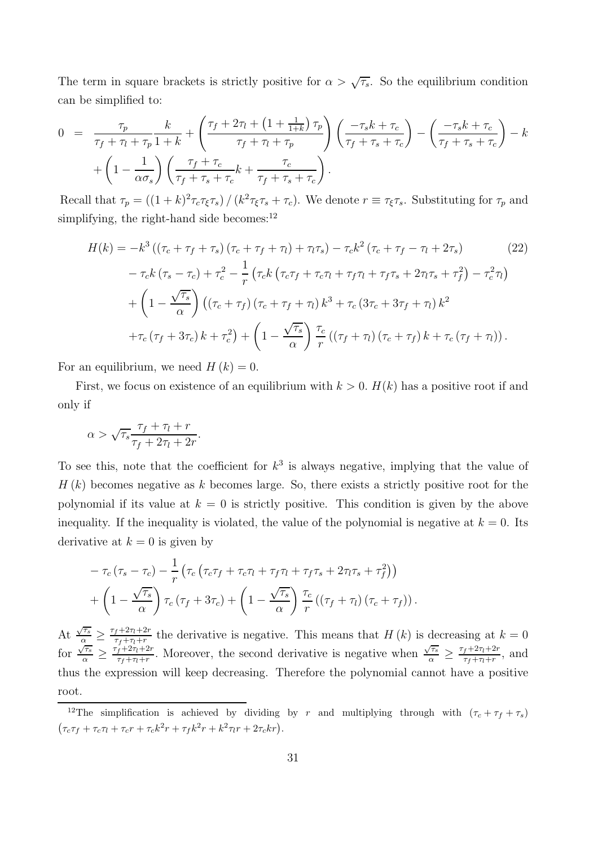The term in square brackets is strictly positive for  $\alpha > \sqrt{\tau_s}$ . So the equilibrium condition can be simplified to:

$$
0 = \frac{\tau_p}{\tau_f + \tau_l + \tau_p} \frac{k}{1+k} + \left(\frac{\tau_f + 2\tau_l + \left(1 + \frac{1}{1+k}\right)\tau_p}{\tau_f + \tau_l + \tau_p}\right) \left(\frac{-\tau_s k + \tau_c}{\tau_f + \tau_s + \tau_c}\right) - \left(\frac{-\tau_s k + \tau_c}{\tau_f + \tau_s + \tau_c}\right) - k
$$

$$
+ \left(1 - \frac{1}{\alpha \sigma_s}\right) \left(\frac{\tau_f + \tau_c}{\tau_f + \tau_s + \tau_c} k + \frac{\tau_c}{\tau_f + \tau_s + \tau_c}\right).
$$

Recall that  $\tau_p = ((1+k)^2 \tau_c \tau_{\xi} \tau_s) / (k^2 \tau_{\xi} \tau_s + \tau_c)$ . We denote  $r \equiv \tau_{\xi} \tau_s$ . Substituting for  $\tau_p$  and simplifying, the right-hand side becomes:<sup>12</sup>

$$
H(k) = -k^3 \left( \left( \tau_c + \tau_f + \tau_s \right) \left( \tau_c + \tau_f + \tau_l \right) + \tau_l \tau_s \right) - \tau_c k^2 \left( \tau_c + \tau_f - \tau_l + 2\tau_s \right) \tag{22}
$$
\n
$$
- \tau_c k \left( \tau_s - \tau_c \right) + \tau_c^2 - \frac{1}{r} \left( \tau_c k \left( \tau_c \tau_f + \tau_c \tau_l + \tau_f \tau_s + 2\tau_l \tau_s + \tau_f^2 \right) - \tau_c^2 \tau_l \right)
$$
\n
$$
+ \left( 1 - \frac{\sqrt{\tau_s}}{\alpha} \right) \left( \left( \tau_c + \tau_f \right) \left( \tau_c + \tau_f + \tau_l \right) k^3 + \tau_c \left( 3\tau_c + 3\tau_f + \tau_l \right) k^2
$$
\n
$$
+ \tau_c \left( \tau_f + 3\tau_c \right) k + \tau_c^2 \right) + \left( 1 - \frac{\sqrt{\tau_s}}{\alpha} \right) \frac{\tau_c}{r} \left( \left( \tau_f + \tau_l \right) \left( \tau_c + \tau_f \right) k + \tau_c \left( \tau_f + \tau_l \right) \right).
$$

For an equilibrium, we need  $H(k) = 0$ .

First, we focus on existence of an equilibrium with  $k > 0$ .  $H(k)$  has a positive root if and only if

$$
\alpha > \sqrt{\tau_s} \frac{\tau_f + \tau_l + r}{\tau_f + 2\tau_l + 2r}.
$$

To see this, note that the coefficient for  $k^3$  is always negative, implying that the value of  $H(k)$  becomes negative as k becomes large. So, there exists a strictly positive root for the polynomial if its value at  $k = 0$  is strictly positive. This condition is given by the above inequality. If the inequality is violated, the value of the polynomial is negative at  $k = 0$ . Its derivative at  $k = 0$  is given by

$$
-\tau_c(\tau_s - \tau_c) - \frac{1}{r} \left( \tau_c \left( \tau_c \tau_f + \tau_c \tau_l + \tau_f \tau_s + 2 \tau_l \tau_s + \tau_f^2 \right) \right) + \left( 1 - \frac{\sqrt{\tau_s}}{\alpha} \right) \tau_c \left( \tau_f + 3 \tau_c \right) + \left( 1 - \frac{\sqrt{\tau_s}}{\alpha} \right) \frac{\tau_c}{r} \left( \left( \tau_f + \tau_l \right) \left( \tau_c + \tau_f \right) \right).
$$

At  $\frac{\sqrt{\tau_s}}{\alpha}$  $\frac{\sqrt{\tau_s}}{\alpha} \geq \frac{\tau_f + 2\tau_l + 2r}{\tau_f + \tau_l + r}$  $\frac{f^{+2\tau_1+2r}}{\tau_f+\tau_i+r}$  the derivative is negative. This means that  $H(k)$  is decreasing at  $k=0$ for  $\frac{\sqrt{\tau_s}}{\alpha}$  $\frac{\sqrt{\tau_s}}{\alpha} \geq \frac{\tau_f + 2\tau_l + 2r}{\tau_f + \tau_l + r}$  $\frac{f+2\tau_1+2r}{\tau_f+\tau_1+r}$ . Moreover, the second derivative is negative when  $\frac{\sqrt{\tau_s}}{\alpha}$  $\frac{\sqrt{\tau_s}}{\alpha} \geq \frac{\tau_f + 2\tau_l + 2r}{\tau_f + \tau_l + r}$  $\frac{f^{+2\eta+2r}}{\tau_f+\eta+r}$ , and thus the expression will keep decreasing. Therefore the polynomial cannot have a positive root.

<sup>&</sup>lt;sup>12</sup>The simplification is achieved by dividing by r and multiplying through with  $(\tau_c + \tau_f + \tau_s)$  $(\tau_c \tau_f + \tau_c \tau_l + \tau_c r + \tau_c k^2 r + \tau_f k^2 r + k^2 \tau_l r + 2 \tau_c k r).$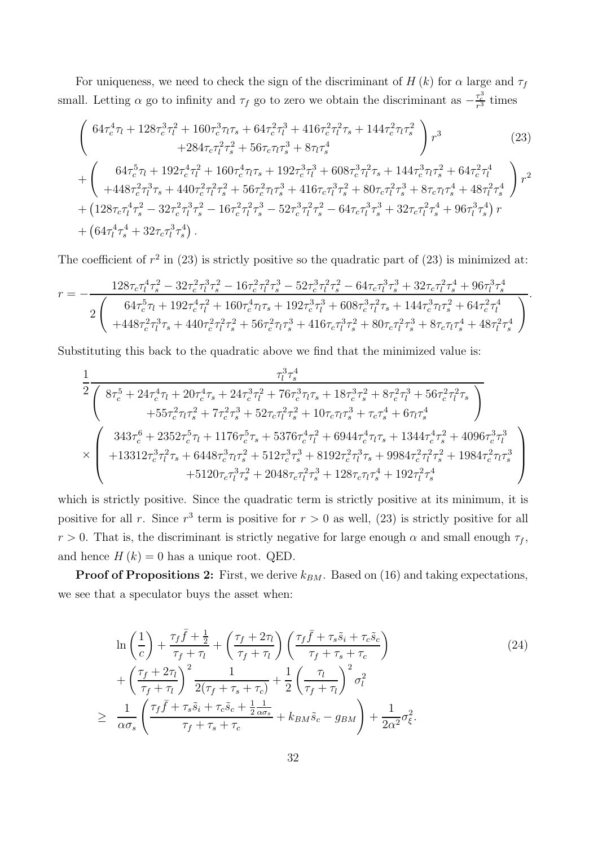For uniqueness, we need to check the sign of the discriminant of  $H(k)$  for  $\alpha$  large and  $\tau_f$ small. Letting  $\alpha$  go to infinity and  $\tau_f$  go to zero we obtain the discriminant as  $-\frac{\tau_c^3}{r^3}$  times

$$
\begin{pmatrix}\n64\tau_c^4\tau_l + 128\tau_c^3\tau_l^2 + 160\tau_c^3\tau_l\tau_s + 64\tau_c^2\tau_l^3 + 416\tau_c^2\tau_l^2\tau_s + 144\tau_c^2\tau_l\tau_s^2 \\
+ 284\tau_c\tau_l^2\tau_s^2 + 56\tau_c\tau_l\tau_s^3 + 8\tau_l\tau_s^4\n\end{pmatrix} r^3
$$
\n
$$
+ \begin{pmatrix}\n64\tau_c^5\tau_l + 192\tau_c^4\tau_l^2 + 160\tau_c^4\tau_l\tau_s + 192\tau_c^3\tau_l^3 + 608\tau_c^3\tau_l^2\tau_s + 144\tau_c^3\tau_l\tau_s^2 + 64\tau_c^2\tau_l^4 \\
+ \left(\begin{array}{c}\n64\tau_c^5\tau_l + 192\tau_c^4\tau_l^2 + 160\tau_c^4\tau_l\tau_s + 192\tau_c^3\tau_l^3 + 608\tau_c^3\tau_l^2\tau_s + 144\tau_c^3\tau_l\tau_s^2 + 64\tau_c^2\tau_l^4 \\
+ \left(\begin{array}{c}\n64\tau_c^5\tau_l + 192\tau_c^4\tau_l^2 + 160\tau_c^4\tau_l\tau_s + 192\tau_c^3\tau_l^3 + 608\tau_c^3\tau_l^2\tau_s + 144\tau_c^3\tau_l\tau_s^2 + 64\tau_c^2\tau_l^4\n\end{array}\right) r^2
$$
\n
$$
+ \begin{pmatrix}\n64\tau_c^5\tau_l + 192\tau_c^4\tau_l^2 + 160\tau_c^4\tau_l\tau_s + 192\tau_c^3\tau_l^3 + 608\tau_c^3\tau_l^2\tau_s + 144\tau_c^3\tau_l\tau_s^2 + 64\tau_c^2\tau_l^4\n\end{pmatrix} r^2
$$

$$
\begin{aligned}\n&+448\tau_c^2\tau_l^3\tau_s+440\tau_c^2\tau_l^2\tau_s^2+56\tau_c^2\tau_l\tau_s^3+416\tau_c\tau_l^3\tau_s^2+80\tau_c\tau_l^2\tau_s^3+8\tau_c\tau_l\tau_s^4+48\tau_l^2\tau_s^4\n\end{aligned}\n\begin{aligned}\n&+ \left(128\tau_c\tau_l^4\tau_s^2-32\tau_c^2\tau_l^3\tau_s^2-16\tau_c^2\tau_l^2\tau_s^3-52\tau_c^3\tau_l^2\tau_s^2-64\tau_c\tau_l^3\tau_s^3+32\tau_c\tau_l^2\tau_s^4+96\tau_l^3\tau_s^4\right)r \\
&+ \left(64\tau_l^4\tau_s^4+32\tau_c\tau_l^3\tau_s^4\right).\n\end{aligned}
$$

The coefficient of  $r^2$  in (23) is strictly positive so the quadratic part of (23) is minimized at:

$$
r=-\frac{128\tau_c\tau_l^4\tau_s^2-32\tau_c^2\tau_l^3\tau_s^2-16\tau_c^2\tau_l^2\tau_s^3-52\tau_c^3\tau_l^2\tau_s^2-64\tau_c\tau_l^3\tau_s^3+32\tau_c\tau_l^2\tau_s^4+96\tau_l^3\tau_s^4}{2\left(\begin{array}{c}64\tau_c^5\tau_l+192\tau_c^4\tau_l^2+160\tau_c^4\tau_l\tau_s+192\tau_c^3\tau_l^3+608\tau_c^3\tau_l^2\tau_s+144\tau_c^3\tau_l\tau_s^2+64\tau_c^2\tau_l^4\\+448\tau_c^2\tau_l^3\tau_s+440\tau_c^2\tau_l^2\tau_s^2+56\tau_c^2\tau_l\tau_s^3+416\tau_c\tau_l^3\tau_s^2+80\tau_c\tau_l^2\tau_s^3+8\tau_c\tau_l\tau_s^4+48\tau_l^2\tau_s^4\end{array}\right)}.
$$

Substituting this back to the quadratic above we find that the minimized value is:

$$
\begin{split} &\frac{\tau_l^3 \tau_s^4}{2}\frac{\tau_l^3 \tau_s^4}{\left(\begin{array}{c} 8\tau_c^5 + 24\tau_c^4\tau_l + 20\tau_c^4\tau_s + 24\tau_c^3\tau_l^2 + 76\tau_c^3\tau_l\tau_s + 18\tau_c^3\tau_s^2 + 8\tau_c^2\tau_l^3 + 56\tau_c^2\tau_l^2\tau_s \end{array}\right)} \\ &\times \begin{pmatrix} 343\tau_c^6 + 2352\tau_c^5\tau_l + 1176\tau_c^5\tau_s + 5376\tau_c^4\tau_l^2 + 6944\tau_c^4\tau_l\tau_s + 1344\tau_c^4\tau_s^2 + 4096\tau_c^3\tau_l^3 \end{pmatrix} \\ \times \begin{pmatrix} 343\tau_c^6 + 2352\tau_c^5\tau_l + 1176\tau_c^5\tau_s + 5376\tau_c^4\tau_l^2 + 6944\tau_c^4\tau_l\tau_s + 1344\tau_c^4\tau_s^2 + 4096\tau_c^3\tau_l^3 \end{pmatrix} \\ &+ 5120\tau_c\tau_l^3\tau_s^2 + 2048\tau_c\tau_l^2\tau_s^3 + 128\tau_c\tau_l\tau_s^4 + 192\tau_l^2\tau_s^4 \end{split}
$$

which is strictly positive. Since the quadratic term is strictly positive at its minimum, it is positive for all r. Since  $r^3$  term is positive for  $r > 0$  as well, (23) is strictly positive for all  $r > 0$ . That is, the discriminant is strictly negative for large enough  $\alpha$  and small enough  $\tau_f$ , and hence  $H(k) = 0$  has a unique root. QED.

**Proof of Propositions 2:** First, we derive  $k_{BM}$ . Based on (16) and taking expectations, we see that a speculator buys the asset when:

$$
\ln\left(\frac{1}{c}\right) + \frac{\tau_f \bar{f} + \frac{1}{2}}{\tau_f + \tau_l} + \left(\frac{\tau_f + 2\tau_l}{\tau_f + \tau_l}\right) \left(\frac{\tau_f \bar{f} + \tau_s \tilde{s}_i + \tau_c \tilde{s}_c}{\tau_f + \tau_s + \tau_c}\right) \n+ \left(\frac{\tau_f + 2\tau_l}{\tau_f + \tau_l}\right)^2 \frac{1}{2(\tau_f + \tau_s + \tau_c)} + \frac{1}{2} \left(\frac{\tau_l}{\tau_f + \tau_l}\right)^2 \sigma_l^2 \n\geq \frac{1}{\alpha \sigma_s} \left(\frac{\tau_f \bar{f} + \tau_s \tilde{s}_i + \tau_c \tilde{s}_c + \frac{1}{2} \frac{1}{\alpha \sigma_s}}{\tau_f + \tau_s + \tau_c} + k_{BM} \tilde{s}_c - g_{BM}\right) + \frac{1}{2\alpha^2} \sigma_{\xi}^2.
$$
\n(24)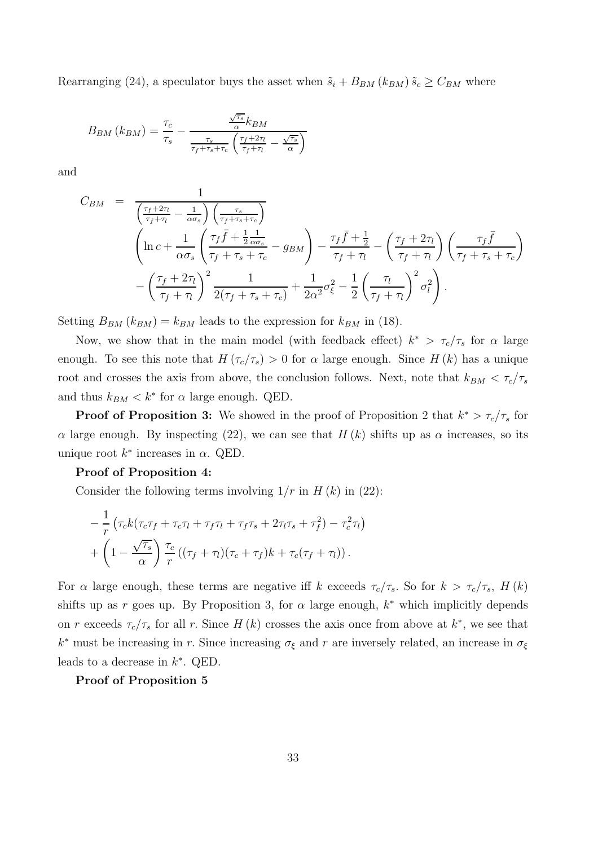Rearranging (24), a speculator buys the asset when  $\tilde{s}_i + B_{BM} (k_{BM}) \tilde{s}_c \geq C_{BM}$  where

$$
B_{BM} (k_{BM}) = \frac{\tau_c}{\tau_s} - \frac{\frac{\sqrt{\tau_s}}{\alpha} k_{BM}}{\frac{\tau_s}{\tau_f + \tau_s + \tau_c} \left(\frac{\tau_f + 2\tau_l}{\tau_f + \tau_l} - \frac{\sqrt{\tau_s}}{\alpha}\right)}
$$

and

$$
C_{BM} = \frac{1}{\left(\frac{\tau_f + 2\tau_l}{\tau_f + \tau_l} - \frac{1}{\alpha \sigma_s}\right) \left(\frac{\tau_s}{\tau_f + \tau_s + \tau_c}\right)}
$$
  

$$
\left(\ln c + \frac{1}{\alpha \sigma_s} \left(\frac{\tau_f \bar{f} + \frac{1}{2} \frac{1}{\alpha \sigma_s}}{\tau_f + \tau_s + \tau_c} - g_{BM}\right) - \frac{\tau_f \bar{f} + \frac{1}{2}}{\tau_f + \tau_l} - \left(\frac{\tau_f + 2\tau_l}{\tau_f + \tau_l}\right) \left(\frac{\tau_f \bar{f}}{\tau_f + \tau_s + \tau_c}\right)
$$

$$
-\left(\frac{\tau_f + 2\tau_l}{\tau_f + \tau_l}\right)^2 \frac{1}{2(\tau_f + \tau_s + \tau_c)} + \frac{1}{2\alpha^2} \sigma_{\xi}^2 - \frac{1}{2} \left(\frac{\tau_l}{\tau_f + \tau_l}\right)^2 \sigma_l^2\right).
$$

Setting  $B_{BM} (k_{BM}) = k_{BM}$  leads to the expression for  $k_{BM}$  in (18).

Now, we show that in the main model (with feedback effect)  $k^* > \tau_c/\tau_s$  for  $\alpha$  large enough. To see this note that  $H(\tau_c/\tau_s) > 0$  for  $\alpha$  large enough. Since  $H(k)$  has a unique root and crosses the axis from above, the conclusion follows. Next, note that  $k_{BM} < \tau_c/\tau_s$ and thus  $k_{BM} < k^*$  for  $\alpha$  large enough. QED.

**Proof of Proposition 3:** We showed in the proof of Proposition 2 that  $k^* > \tau_c/\tau_s$  for  $\alpha$  large enough. By inspecting (22), we can see that  $H(k)$  shifts up as  $\alpha$  increases, so its unique root  $k^*$  increases in  $\alpha$ . QED.

#### Proof of Proposition 4:

Consider the following terms involving  $1/r$  in  $H(k)$  in (22):

$$
-\frac{1}{r}\left(\tau_c k(\tau_c \tau_f + \tau_c \tau_l + \tau_f \tau_i + \tau_f \tau_s + 2\tau_l \tau_s + \tau_f^2) - \tau_c^2 \tau_l\right) + \left(1 - \frac{\sqrt{\tau_s}}{\alpha}\right) \frac{\tau_c}{r} \left((\tau_f + \tau_l)(\tau_c + \tau_f)k + \tau_c(\tau_f + \tau_l)\right).
$$

For  $\alpha$  large enough, these terms are negative iff k exceeds  $\tau_c/\tau_s$ . So for  $k > \tau_c/\tau_s$ ,  $H(k)$ shifts up as r goes up. By Proposition 3, for  $\alpha$  large enough,  $k^*$  which implicitly depends on r exceeds  $\tau_c/\tau_s$  for all r. Since  $H(k)$  crosses the axis once from above at  $k^*$ , we see that  $k^*$  must be increasing in r. Since increasing  $\sigma_{\xi}$  and r are inversely related, an increase in  $\sigma_{\xi}$ leads to a decrease in  $k^*$ . QED.

#### Proof of Proposition 5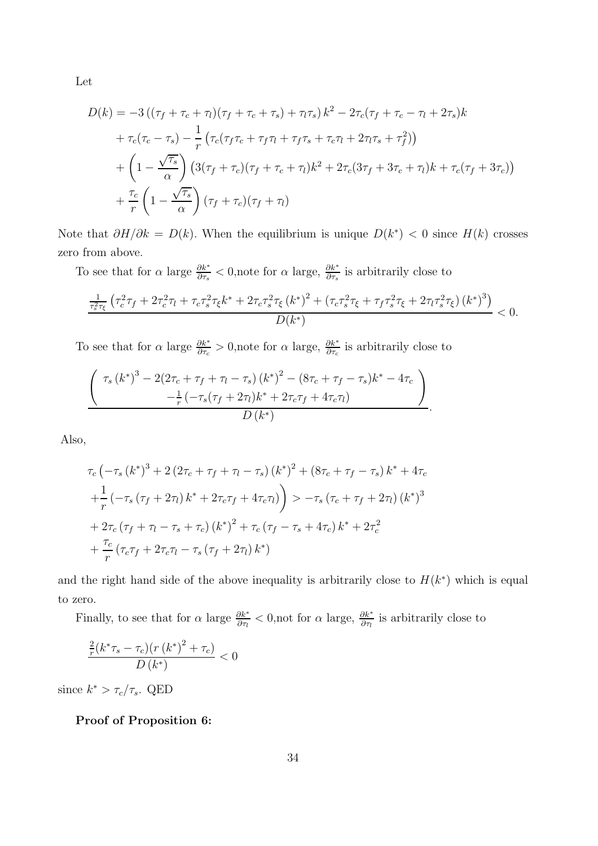Let

$$
D(k) = -3\left((\tau_f + \tau_c + \tau_l)(\tau_f + \tau_c + \tau_s) + \tau_l\tau_s\right)k^2 - 2\tau_c(\tau_f + \tau_c - \tau_l + 2\tau_s)k
$$
  
+  $\tau_c(\tau_c - \tau_s) - \frac{1}{r}\left(\tau_c(\tau_f\tau_c + \tau_f\tau_l + \tau_f\tau_s + \tau_c\tau_l + 2\tau_l\tau_s + \tau_f^2)\right)$   
+  $\left(1 - \frac{\sqrt{\tau_s}}{\alpha}\right)\left(3(\tau_f + \tau_c)(\tau_f + \tau_c + \tau_l)k^2 + 2\tau_c(3\tau_f + 3\tau_c + \tau_l)k + \tau_c(\tau_f + 3\tau_c)\right)$   
+  $\frac{\tau_c}{r}\left(1 - \frac{\sqrt{\tau_s}}{\alpha}\right)(\tau_f + \tau_c)(\tau_f + \tau_l)$ 

Note that  $\partial H/\partial k = D(k)$ . When the equilibrium is unique  $D(k^*) < 0$  since  $H(k)$  crosses zero from above.

To see that for  $\alpha$  large  $\frac{\partial k^*}{\partial \tau_s} < 0$ , note for  $\alpha$  large,  $\frac{\partial k^*}{\partial \tau_s}$  is arbitrarily close to

$$
\frac{\frac{1}{\tau_s^2 \tau_{\xi}} \left( \tau_c^2 \tau_f + 2 \tau_c^2 \tau_l + \tau_c \tau_s^2 \tau_{\xi} k^* + 2 \tau_c \tau_s^2 \tau_{\xi} \left( k^* \right)^2 + \left( \tau_c \tau_s^2 \tau_{\xi} + \tau_f \tau_s^2 \tau_{\xi} + 2 \tau_l \tau_s^2 \tau_{\xi} \right) \left( k^* \right)^3 \right)}{D(k^*)} < 0.
$$

To see that for  $\alpha$  large  $\frac{\partial k^*}{\partial \tau_c} > 0$ , note for  $\alpha$  large,  $\frac{\partial k^*}{\partial \tau_c}$  is arbitrarily close to

$$
\frac{\left(\begin{array}{c}\tau_s \left(k^*\right)^3 - 2(2\tau_c + \tau_f + \tau_l - \tau_s) \left(k^*\right)^2 - (8\tau_c + \tau_f - \tau_s) k^* - 4\tau_c\\-\frac{1}{r} \left(-\tau_s (\tau_f + 2\tau_l) k^* + 2\tau_c \tau_f + 4\tau_c \tau_l\right)\end{array}\right)}{D\left(k^*\right)}.
$$

Also,

 $\overline{\phantom{a}}$ 

$$
\tau_c \left( -\tau_s (k^*)^3 + 2 \left( 2\tau_c + \tau_f + \tau_l - \tau_s \right) (k^*)^2 + \left( 8\tau_c + \tau_f - \tau_s \right) k^* + 4\tau_c \n+ \frac{1}{r} \left( -\tau_s (\tau_f + 2\tau_l) k^* + 2\tau_c \tau_f + 4\tau_c \tau_l \right) \right) > -\tau_s (\tau_c + \tau_f + 2\tau_l) (k^*)^3 \n+ 2\tau_c (\tau_f + \tau_l - \tau_s + \tau_c) (k^*)^2 + \tau_c (\tau_f - \tau_s + 4\tau_c) k^* + 2\tau_c^2 \n+ \frac{\tau_c}{r} (\tau_c \tau_f + 2\tau_c \tau_l - \tau_s (\tau_f + 2\tau_l) k^*)
$$

and the right hand side of the above inequality is arbitrarily close to  $H(k^*)$  which is equal to zero.

Finally, to see that for  $\alpha$  large  $\frac{\partial k^*}{\partial \eta} < 0$ , not for  $\alpha$  large,  $\frac{\partial k^*}{\partial \eta}$  is arbitrarily close to

$$
\frac{\frac{2}{r}(k^*\tau_s - \tau_c)(r(k^*)^2 + \tau_c)}{D(k^*)} < 0
$$

since  $k^* > \tau_c/\tau_s$ . QED

## Proof of Proposition 6: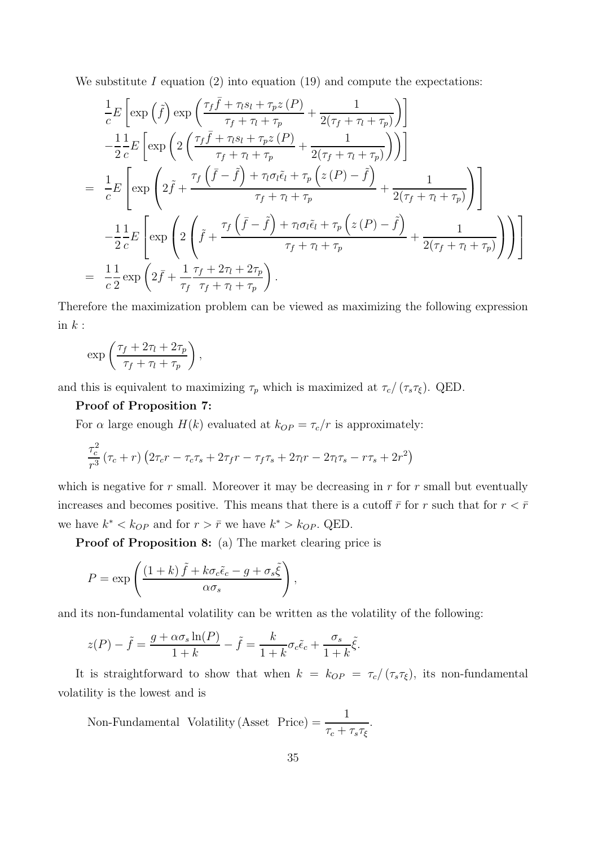We substitute  $I$  equation (2) into equation (19) and compute the expectations:

$$
\frac{1}{c}E\left[\exp\left(\tilde{f}\right)\exp\left(\frac{\tau_f\bar{f} + \tau_l s_l + \tau_p z(P)}{\tau_f + \tau_l + \tau_p} + \frac{1}{2(\tau_f + \tau_l + \tau_p)}\right)\right]
$$
\n
$$
-\frac{1}{2}\frac{1}{c}E\left[\exp\left(2\left(\frac{\tau_f\bar{f} + \tau_l s_l + \tau_p z(P)}{\tau_f + \tau_l + \tau_p} + \frac{1}{2(\tau_f + \tau_l + \tau_p)}\right)\right)\right]
$$
\n
$$
=\frac{1}{c}E\left[\exp\left(2\tilde{f} + \frac{\tau_f\left(\bar{f} - \tilde{f}\right) + \tau_l \sigma_l \tilde{\epsilon}_l + \tau_p \left(z(P) - \tilde{f}\right)}{\tau_f + \tau_l + \tau_p} + \frac{1}{2(\tau_f + \tau_i + \tau_p)}\right)\right]
$$
\n
$$
-\frac{1}{2}\frac{1}{c}E\left[\exp\left(2\left(\tilde{f} + \frac{\tau_f\left(\bar{f} - \tilde{f}\right) + \tau_l \sigma_l \tilde{\epsilon}_l + \tau_p \left(z(P) - \tilde{f}\right)}{\tau_f + \tau_l + \tau_p} + \frac{1}{2(\tau_f + \tau_i + \tau_p)}\right)\right)\right]
$$
\n
$$
=\frac{1}{c} \frac{1}{2}\exp\left(2\tilde{f} + \frac{1}{\tau_f} \frac{\tau_f + 2\tau_l + 2\tau_p}{\tau_f + \tau_f + \tau_p}\right).
$$

Therefore the maximization problem can be viewed as maximizing the following expression in  $k$  :

$$
\exp\left(\frac{\tau_f + 2\tau_l + 2\tau_p}{\tau_f + \tau_l + \tau_p}\right),\,
$$

and this is equivalent to maximizing  $\tau_p$  which is maximized at  $\tau_c/(\tau_s\tau_{\xi})$ . QED.

#### Proof of Proposition 7:

For  $\alpha$  large enough  $H(k)$  evaluated at  $k_{OP} = \tau_c/r$  is approximately:

$$
\frac{\tau_c^2}{r^3} \left(\tau_c + r\right) \left(2\tau_c r - \tau_c \tau_s + 2\tau_f r - \tau_f \tau_s + 2\tau_l r - 2\tau_l \tau_s - r\tau_s + 2r^2\right)
$$

which is negative for  $r$  small. Moreover it may be decreasing in  $r$  for  $r$  small but eventually increases and becomes positive. This means that there is a cutoff  $\bar{r}$  for r such that for  $r < \bar{r}$ we have  $k^* < k_{OP}$  and for  $r > \bar{r}$  we have  $k^* > k_{OP}$ . QED.

Proof of Proposition 8: (a) The market clearing price is

$$
P = \exp\left(\frac{(1+k)\tilde{f} + k\sigma_c\tilde{\epsilon}_c - g + \sigma_s\tilde{\xi}}{\alpha\sigma_s}\right),\,
$$

and its non-fundamental volatility can be written as the volatility of the following:

$$
z(P) - \tilde{f} = \frac{g + \alpha \sigma_s \ln(P)}{1 + k} - \tilde{f} = \frac{k}{1 + k} \sigma_c \tilde{\epsilon}_c + \frac{\sigma_s}{1 + k} \tilde{\xi}.
$$

It is straightforward to show that when  $k = k_{OP} = \tau_c / (\tau_s \tau_{\xi})$ , its non-fundamental volatility is the lowest and is

Non-Fundamental Volatility (Asset Price) =  $\frac{1}{1}$  $\tau_c + \tau_s \tau_\xi$ .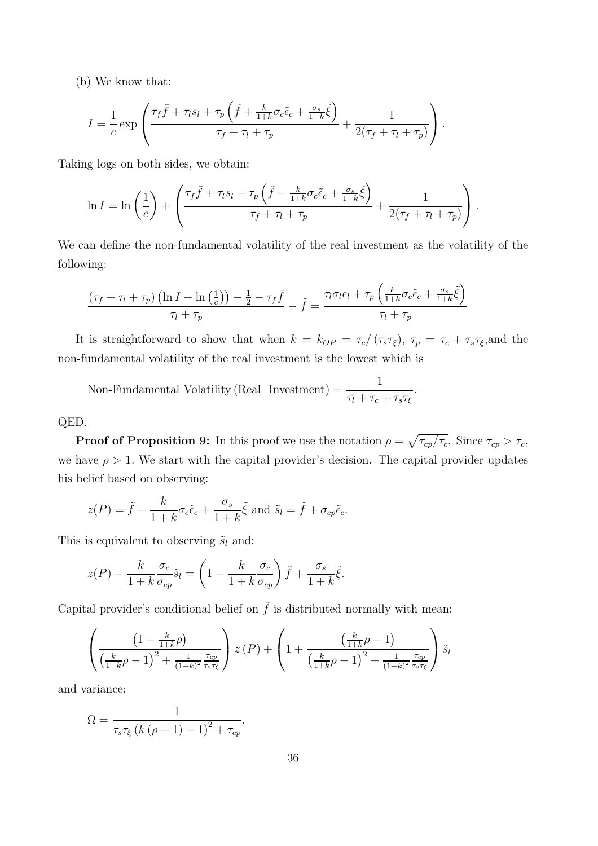(b) We know that:

$$
I = \frac{1}{c} \exp \left( \frac{\tau_f \bar{f} + \tau_l s_l + \tau_p \left( \tilde{f} + \frac{k}{1+k} \sigma_c \tilde{\epsilon}_c + \frac{\sigma_s}{1+k} \tilde{\xi} \right)}{\tau_f + \tau_l + \tau_p} + \frac{1}{2(\tau_f + \tau_l + \tau_p)} \right).
$$

Taking logs on both sides, we obtain:

$$
\ln I = \ln \left( \frac{1}{c} \right) + \left( \frac{\tau_f \bar{f} + \tau_l s_l + \tau_p \left( \tilde{f} + \frac{k}{1+k} \sigma_c \tilde{\epsilon}_c + \frac{\sigma_s}{1+k} \tilde{\xi} \right)}{\tau_f + \tau_l + \tau_p} + \frac{1}{2(\tau_f + \tau_l + \tau_p)} \right).
$$

We can define the non-fundamental volatility of the real investment as the volatility of the following:

$$
\frac{(\tau_f + \tau_l + \tau_p) (\ln I - \ln \left(\frac{1}{c}\right)) - \frac{1}{2} - \tau_f \bar{f}}{\tau_l + \tau_p} - \tilde{f} = \frac{\tau_l \sigma_l \epsilon_l + \tau_p \left(\frac{k}{1+k} \sigma_c \tilde{\epsilon}_c + \frac{\sigma_s}{1+k} \tilde{\xi}\right)}{\tau_l + \tau_p}
$$

It is straightforward to show that when  $k = k_{OP} = \tau_c / (\tau_s \tau_{\xi})$ ,  $\tau_p = \tau_c + \tau_s \tau_{\xi}$ , and the non-fundamental volatility of the real investment is the lowest which is

Non-Fundamental Volatility (Real Investment) =  $\frac{1}{\sqrt{1-\frac{1}{\sqrt{1-\frac{1}{\sqrt{1-\frac{1}{\sqrt{1-\frac{1}{\sqrt{1-\frac{1}{\sqrt{1-\frac{1}{\sqrt{1-\frac{1}{\sqrt{1-\frac{1}{\sqrt{1-\frac{1}{\sqrt{1-\frac{1}{\sqrt{1-\frac{1}{\sqrt{1-\frac{1}{\sqrt{1-\frac{1}{\sqrt{1-\frac{1}{\sqrt{1-\frac{1}{\sqrt{1-\frac{1}{\sqrt{1-\frac{1}{\sqrt{1-\frac{1}{\sqrt{1-\frac$  $\tau_l + \tau_c + \tau_s \tau_{\xi}$ .

QED.

**Proof of Proposition 9:** In this proof we use the notation  $\rho = \sqrt{\tau_{cp}/\tau_c}$ . Since  $\tau_{cp} > \tau_c$ , we have  $\rho > 1$ . We start with the capital provider's decision. The capital provider updates his belief based on observing:

$$
z(P) = \tilde{f} + \frac{k}{1+k}\sigma_c \tilde{\epsilon}_c + \frac{\sigma_s}{1+k}\tilde{\xi} \text{ and } \tilde{s}_l = \tilde{f} + \sigma_{cp}\tilde{\epsilon}_c.
$$

This is equivalent to observing  $\tilde{s}_l$  and:

$$
z(P) - \frac{k}{1+k} \frac{\sigma_c}{\sigma_{cp}} \tilde{s}_l = \left(1 - \frac{k}{1+k} \frac{\sigma_c}{\sigma_{cp}}\right) \tilde{f} + \frac{\sigma_s}{1+k} \tilde{\xi}.
$$

Capital provider's conditional belief on  $\tilde{f}$  is distributed normally with mean:

$$
\left(\frac{\left(1-\frac{k}{1+k}\rho\right)}{\left(\frac{k}{1+k}\rho-1\right)^2+\frac{1}{(1+k)^2}\frac{\tau_{cp}}{\tau_s\tau_\xi}}\right)z\left(P\right)+\left(1+\frac{\left(\frac{k}{1+k}\rho-1\right)}{\left(\frac{k}{1+k}\rho-1\right)^2+\frac{1}{(1+k)^2}\frac{\tau_{cp}}{\tau_s\tau_\xi}}\right)\tilde{s}_l
$$

and variance:

$$
\Omega = \frac{1}{\tau_s \tau_{\xi} \left( k \left( \rho - 1 \right) - 1 \right)^2 + \tau_{cp}}.
$$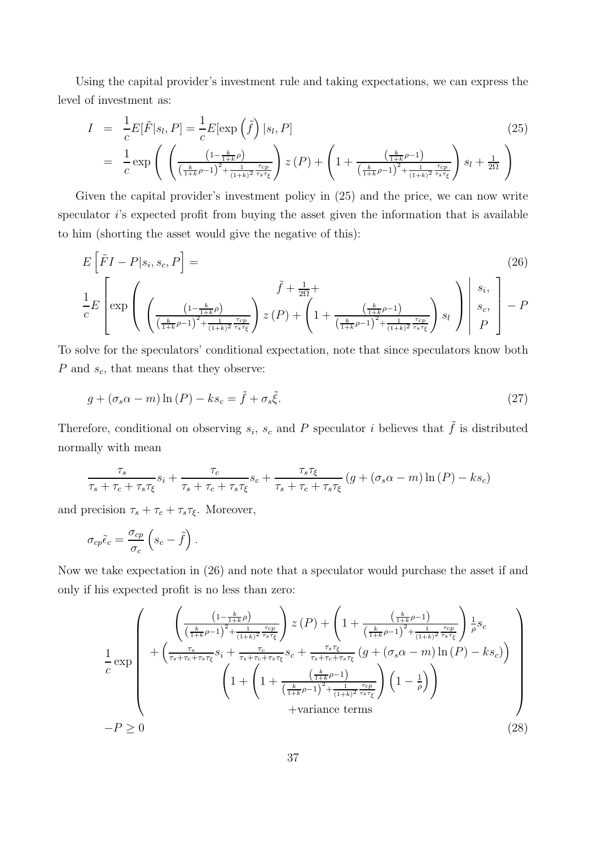Using the capital provider's investment rule and taking expectations, we can express the level of investment as:

$$
I = \frac{1}{c} E[\tilde{F}|s_l, P] = \frac{1}{c} E[\exp\left(\tilde{f}\right)|s_l, P] \tag{25}
$$
\n
$$
= \frac{1}{c} \exp\left(\left(\frac{\left(1 - \frac{k}{1 + k}\rho\right)}{\left(\frac{k}{1 + k}\rho - 1\right)^2 + \frac{1}{(1 + k)^2} \frac{\tau_{cp}}{\tau_{s\tau_{\xi}}}}\right) z(P) + \left(1 + \frac{\left(\frac{k}{1 + k}\rho - 1\right)}{\left(\frac{k}{1 + k}\rho - 1\right)^2 + \frac{1}{(1 + k)^2} \frac{\tau_{cp}}{\tau_{s\tau_{\xi}}}}\right) s_l + \frac{1}{2\Omega} \right)
$$

Given the capital provider's investment policy in (25) and the price, we can now write speculator  $i$ 's expected profit from buying the asset given the information that is available to him (shorting the asset would give the negative of this):

$$
E\left[\tilde{F}I - P|s_i, s_c, P\right] =
$$
\n
$$
\frac{1}{c}E\left[\exp\left(\left(\frac{\left(1 - \frac{k}{1 + k}\rho\right)}{\left(\frac{k}{1 + k}\rho - 1\right)^2 + \frac{1}{(1 + k)^2}\frac{\tau_{cp}}{\tau_{s}\tau_{\xi}}}\right)z(P) + \left(1 + \frac{\left(\frac{k}{1 + k}\rho - 1\right)}{\left(\frac{k}{1 + k}\rho - 1\right)^2 + \frac{1}{(1 + k)^2}\frac{\tau_{cp}}{\tau_{s}\tau_{\xi}}}\right)s_l\right)\Bigg|_{P}^{s_{i}},
$$
\n(26)

To solve for the speculators' conditional expectation, note that since speculators know both  $P$  and  $s_c$ , that means that they observe:

$$
g + (\sigma_s \alpha - m) \ln(P) - ks_c = \tilde{f} + \sigma_s \tilde{\xi}.
$$
 (27)

Therefore, conditional on observing  $s_i$ ,  $s_c$  and P speculator i believes that  $\tilde{f}$  is distributed normally with mean

$$
\frac{\tau_s}{\tau_s + \tau_c + \tau_s \tau_\xi} s_i + \frac{\tau_c}{\tau_s + \tau_c + \tau_s \tau_\xi} s_c + \frac{\tau_s \tau_\xi}{\tau_s + \tau_c + \tau_s \tau_\xi} (g + (\sigma_s \alpha - m) \ln(P) - ks_c)
$$

and precision  $\tau_s + \tau_c + \tau_s \tau_{\xi}$ . Moreover,

$$
\sigma_{cp}\tilde{\epsilon}_c = \frac{\sigma_{cp}}{\sigma_c}\left(s_c - \tilde{f}\right).
$$

Now we take expectation in (26) and note that a speculator would purchase the asset if and only if his expected profit is no less than zero:

$$
\frac{1}{c} \exp \left( + \left( \frac{\left( \frac{1 - \frac{k}{1 + k} \rho \right)}{\left( \frac{k}{1 + k} \rho - 1 \right)^2 + \frac{1}{(1 + k)^2} \frac{\tau_{cp}}{\tau_{s} \tau_{\xi}}} \right) z(P) + \left( 1 + \frac{\left( \frac{k}{1 + k} \rho - 1 \right)}{\left( \frac{k}{1 + k} \rho - 1 \right)^2 + \frac{1}{(1 + k)^2} \frac{\tau_{cp}}{\tau_{s} \tau_{\xi}}} \right) \frac{1}{\rho} s_c}{c} \right)
$$
\n
$$
+ \left( \frac{\tau_s}{\tau_s + \tau_c + \tau_s \tau_{\xi}} s_i + \frac{\tau_c}{\tau_s + \tau_c + \tau_s \tau_{\xi}} s_c + \frac{\tau_s \tau_{\xi}}{\tau_s + \tau_c + \tau_s \tau_{\xi}} \left( g + (\sigma_s \alpha - m) \ln(P) - ks_c \right) \right) \left( 1 + \left( 1 + \frac{\left( \frac{k}{1 + k} \rho - 1 \right)}{\left( \frac{k}{1 + k} \rho - 1 \right)^2 + \frac{1}{(1 + k)^2} \frac{\tau_{cp}}{\tau_{s} \tau_{\xi}}} \right) \left( 1 - \frac{1}{\rho} \right) \right)
$$
\n
$$
+ \text{variance terms} \tag{28}
$$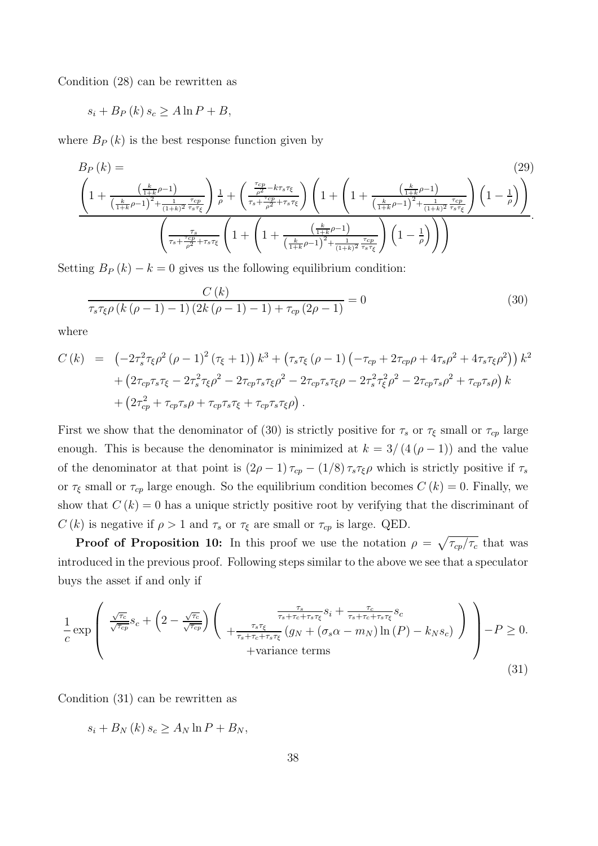Condition (28) can be rewritten as

$$
s_i + B_P(k) s_c \ge A \ln P + B,
$$

where  $B_P(k)$  is the best response function given by

$$
B_{P}\left(k\right) = \qquad (29)
$$
\n
$$
\frac{\left(1 + \frac{\left(\frac{k}{1+k}\rho - 1\right)}{\left(\frac{k}{1+k}\rho - 1\right)^{2} + \frac{1}{\left(1+k\right)^{2}}\frac{\tau_{cp}}{\tau_{s}\tau_{\xi}}}\right)\frac{1}{\rho} + \left(\frac{\frac{\tau_{cp}}{\rho^{2}} - k\tau_{s}\tau_{\xi}}{\tau_{s} + \frac{\tau_{cp}}{\rho^{2}} + \tau_{s}\tau_{\xi}}\right)\left(1 + \left(1 + \frac{\left(\frac{k}{1+k}\rho - 1\right)^{2} + \frac{1}{\left(1+k\right)^{2}}\frac{\tau_{cp}}{\tau_{s}\tau_{\xi}}}{\left(\frac{\tau_{s}}{\tau_{s} + \frac{\tau_{cp}}{\rho^{2}} + \tau_{s}\tau_{\xi}}\right)}\right)\left(1 - \frac{1}{\rho}\right)\right)}\right)}{\left(\frac{\tau_{s}}{\tau_{s} + \frac{\tau_{cp}}{\rho^{2}} + \tau_{s}\tau_{\xi}}\left(1 + \left(1 + \frac{\left(\frac{k}{1+k}\rho - 1\right)^{2} + \frac{1}{\left(1+k\right)^{2}}\frac{\tau_{cp}}{\tau_{s}\tau_{\xi}}}{\left(\frac{1}{1+k}\rho - 1\right)^{2} + \frac{1}{\left(1+k\right)^{2}}\frac{\tau_{cp}}{\tau_{s}\tau_{\xi}}}\right)\left(1 - \frac{1}{\rho}\right)\right)\right)}.
$$
\n(29)

Setting  $B_P(k) - k = 0$  gives us the following equilibrium condition:

$$
\frac{C(k)}{\tau_s \tau_{\xi} \rho (k (\rho - 1) - 1) (2k (\rho - 1) - 1) + \tau_{cp} (2\rho - 1)} = 0
$$
\n(30)

where

$$
C(k) = \left(-2\tau_s^2 \tau_{\xi} \rho^2 (\rho - 1)^2 (\tau_{\xi} + 1)\right) k^3 + \left(\tau_s \tau_{\xi} (\rho - 1) \left(-\tau_{cp} + 2\tau_{cp}\rho + 4\tau_s \rho^2 + 4\tau_s \tau_{\xi} \rho^2\right)\right) k^2 + \left(2\tau_{cp} \tau_s \tau_{\xi} - 2\tau_s^2 \tau_{\xi} \rho^2 - 2\tau_{cp} \tau_s \tau_{\xi} \rho^2 - 2\tau_{cp} \tau_s \tau_{\xi} \rho - 2\tau_s^2 \tau_{\xi}^2 \rho^2 - 2\tau_{cp} \tau_s \rho^2 + \tau_{cp} \tau_s \rho\right) k + \left(2\tau_{cp}^2 + \tau_{cp} \tau_s \rho + \tau_{cp} \tau_s \tau_{\xi} + \tau_{cp} \tau_s \tau_{\xi} \rho\right).
$$

First we show that the denominator of (30) is strictly positive for  $\tau_s$  or  $\tau_{\xi}$  small or  $\tau_{cp}$  large enough. This is because the denominator is minimized at  $k = 3/(4(\rho - 1))$  and the value of the denominator at that point is  $(2\rho - 1) \tau_{cp} - (1/8) \tau_s \tau_{\xi} \rho$  which is strictly positive if  $\tau_s$ or  $\tau_{\xi}$  small or  $\tau_{cp}$  large enough. So the equilibrium condition becomes  $C(k) = 0$ . Finally, we show that  $C(k) = 0$  has a unique strictly positive root by verifying that the discriminant of C (k) is negative if  $\rho > 1$  and  $\tau_s$  or  $\tau_{\xi}$  are small or  $\tau_{cp}$  is large. QED.

**Proof of Proposition 10:** In this proof we use the notation  $\rho = \sqrt{\tau_{cp}/\tau_c}$  that was introduced in the previous proof. Following steps similar to the above we see that a speculator buys the asset if and only if

$$
\frac{1}{c} \exp\left(\frac{\frac{\sqrt{\tau_c}}{\sqrt{\tau_{cp}}} s_c + \left(2 - \frac{\sqrt{\tau_c}}{\sqrt{\tau_{cp}}}\right) \left(\frac{\tau_s}{\tau_s + \tau_c + \tau_s \tau_\xi} s_i + \frac{\tau_c}{\tau_s + \tau_c + \tau_s \tau_\xi} s_c + \frac{\tau_c}{\tau_s + \tau_c + \tau_s \tau_\xi} s_c + \frac{\tau_c}{\tau_s + \tau_c + \tau_s \tau_\xi} s_c + \frac{\tau_c}{\tau_s + \tau_c + \tau_s \tau_\xi} s_c + \frac{\tau_c}{\tau_s + \tau_c + \tau_s \tau_\xi} s_c + \frac{\tau_c}{\tau_s + \tau_c + \tau_s \tau_\xi} s_c + \frac{\tau_c}{\tau_s + \tau_c + \tau_s \tau_\xi} s_c + \frac{\tau_c}{\tau_s + \tau_c + \tau_s \tau_\xi} s_c + \frac{\tau_c}{\tau_s + \tau_c + \tau_s \tau_\xi} s_c + \frac{\tau_c}{\tau_s + \tau_c + \tau_s \tau_\xi} s_c + \frac{\tau_c}{\tau_s + \tau_c + \tau_s \tau_\xi} s_c + \frac{\tau_c}{\tau_s + \tau_c + \tau_s \tau_\xi} s_c + \frac{\tau_c}{\tau_s + \tau_c + \tau_s \tau_\xi} s_c + \frac{\tau_c}{\tau_s + \tau_c + \tau_s \tau_\xi} s_c + \frac{\tau_c}{\tau_s + \tau_c + \tau_s \tau_\xi} s_c + \frac{\tau_c}{\tau_s + \tau_c + \tau_s \tau_\xi} s_c + \frac{\tau_c}{\tau_s + \tau_c + \tau_s \tau_\xi} s_c + \frac{\tau_c}{\tau_s + \tau_c + \tau_s \tau_\xi} s_c + \frac{\tau_c}{\tau_s + \tau_c + \tau_s \tau_\xi} s_c + \frac{\tau_c}{\tau_s + \tau_c + \tau_s \tau_\xi} s_c + \frac{\tau_c}{\tau_s + \tau_c + \tau_s \tau_\xi} s_c + \frac{\tau_c}{\tau_s + \tau_c + \tau_s \tau_\xi} s_c + \frac{\tau_c}{\tau_s + \tau_c + \tau_s \tau_\xi} s_c + \frac{\tau_c}{\tau_s + \tau_c + \tau_s \tau_\xi} s_c + \frac{\tau_c}{\tau_s + \tau_c + \tau_s \tau_\xi} s_c + \frac{\tau_c}{\tau_s + \tau_c + \tau_s \tau_\xi} s_c + \frac{\tau_c}{\tau_s + \tau_c + \tau_s \tau_\xi} s_c + \frac{\tau
$$

Condition (31) can be rewritten as

 $s_i + B_N (k) s_c > A_N \ln P + B_N,$